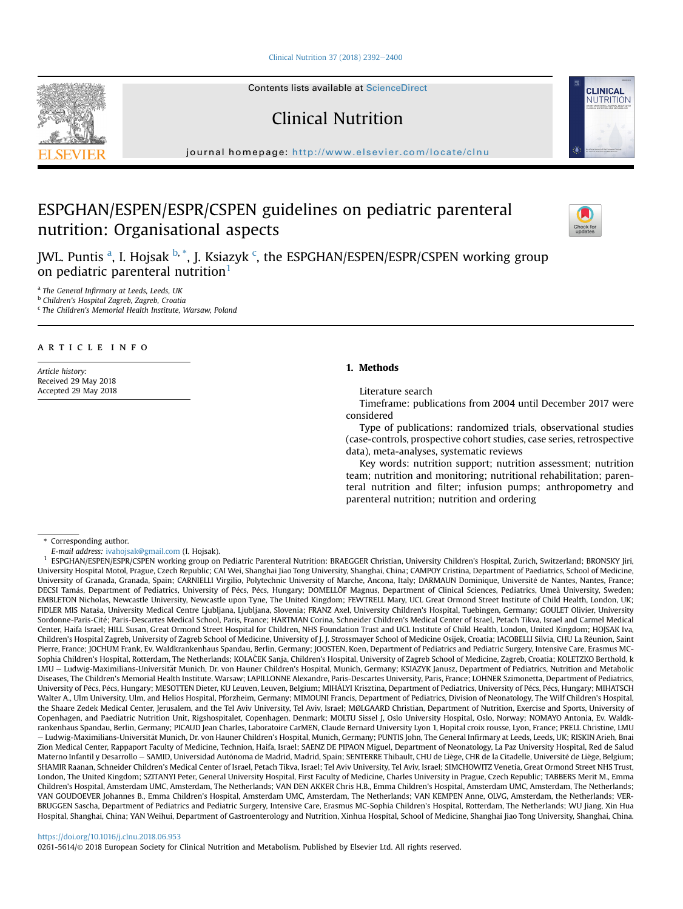# [Clinical Nutrition 37 \(2018\) 2392](https://doi.org/10.1016/j.clnu.2018.06.953)-[2400](https://doi.org/10.1016/j.clnu.2018.06.953)

Contents lists available at ScienceDirect

# Clinical Nutrition

journal homepage: <http://www.elsevier.com/locate/clnu>

# ESPGHAN/ESPEN/ESPR/CSPEN guidelines on pediatric parenteral nutrition: Organisational aspects



<sup>a</sup> The General Infirmary at Leeds, Leeds, UK

<sup>b</sup> Children's Hospital Zagreb, Zagreb, Croatia

<sup>c</sup> The Children's Memorial Health Institute, Warsaw, Poland

# article info

Article history: Received 29 May 2018 Accepted 29 May 2018

# 1. Methods

Literature search

Timeframe: publications from 2004 until December 2017 were considered

Type of publications: randomized trials, observational studies (case-controls, prospective cohort studies, case series, retrospective data), meta-analyses, systematic reviews

Key words: nutrition support; nutrition assessment; nutrition team; nutrition and monitoring; nutritional rehabilitation; parenteral nutrition and filter; infusion pumps; anthropometry and parenteral nutrition; nutrition and ordering

\* Corresponding author.

E-mail address: [ivahojsak@gmail.com](mailto:ivahojsak@gmail.com) (I. Hojsak).

<sup>1</sup> ESPGHAN/ESPEN/ESPR/CSPEN working group on Pediatric Parenteral Nutrition: BRAEGGER Christian, University Children's Hospital, Zurich, Switzerland; BRONSKY Jiri, University Hospital Motol, Prague, Czech Republic; CAI Wei, Shanghai Jiao Tong University, Shanghai, China; CAMPOY Cristina, Department of Paediatrics, School of Medicine, University of Granada, Granada, Spain; CARNIELLI Virgilio, Polytechnic University of Marche, Ancona, Italy; DARMAUN Dominique, Universite de Nantes, Nantes, France; DECSI Tamás, Department of Pediatrics, University of Pécs, Pécs, Hungary; DOMELLÖF Magnus, Department of Clinical Sciences, Pediatrics, Umeå University, Sweden; EMBLETON Nicholas, Newcastle University, Newcastle upon Tyne, The United Kingdom; FEWTRELL Mary, UCL Great Ormond Street Institute of Child Health, London, UK; FIDLER MIS Natasa, University Medical Centre Ljubljana, Ljubljana, Slovenia; FRANZ Axel, University Children's Hospital, Tuebingen, Germany; GOULET Olivier, University Sordonne-Paris-Cité; Paris-Descartes Medical School, Paris, France; HARTMAN Corina, Schneider Children's Medical Center of Israel, Petach Tikva, Israel and Carmel Medical Center, Haifa Israel; HILL Susan, Great Ormond Street Hospital for Children, NHS Foundation Trust and UCL Institute of Child Health, London, United Kingdom; HOJSAK Iva, Children's Hospital Zagreb, University of Zagreb School of Medicine, University of J. J. Strossmayer School of Medicine Osijek, Croatia; IACOBELLI Silvia, CHU La Reunion, Saint Pierre, France; JOCHUM Frank, Ev. Waldkrankenhaus Spandau, Berlin, Germany; JOOSTEN, Koen, Department of Pediatrics and Pediatric Surgery, Intensive Care, Erasmus MC-Sophia Children's Hospital, Rotterdam, The Netherlands; KOLAČEK Sanja, Children's Hospital, University of Zagreb School of Medicine, Zagreb, Croatia; KOLETZKO Berthold, k LMU - Ludwig-Maximilians-Universität Munich, Dr. von Hauner Children's Hospital, Munich, Germany; KSIAZYK Janusz, Department of Pediatrics, Nutrition and Metabolic Diseases, The Children's Memorial Health Institute. Warsaw; LAPILLONNE Alexandre, Paris-Descartes University, Paris, France; LOHNER Szimonetta, Department of Pediatrics, University of Pécs, Pécs, Hungary; MESOTTEN Dieter, KU Leuven, Leuven, Belgium; MIHÁLYI Krisztina, Department of Pediatrics, University of Pécs, Pécs, Hungary; MIHATSCH Walter A., Ulm University, Ulm, and Helios Hospital, Pforzheim, Germany; MIMOUNI Francis, Department of Pediatrics, Division of Neonatology, The Wilf Children's Hospital, the Shaare Zedek Medical Center, Jerusalem, and the Tel Aviv University, Tel Aviv, Israel; MØLGAARD Christian, Department of Nutrition, Exercise and Sports, University of Copenhagen, and Paediatric Nutrition Unit, Rigshospitalet, Copenhagen, Denmark; MOLTU Sissel J, Oslo University Hospital, Oslo, Norway; NOMAYO Antonia, Ev. Waldkrankenhaus Spandau, Berlin, Germany; PICAUD Jean Charles, Laboratoire CarMEN, Claude Bernard University Lyon 1, Hopital croix rousse, Lyon, France; PRELL Christine, LMU – Ludwig-Maximilians-Universität Munich, Dr. von Hauner Children's Hospital, Munich, Germany; PUNTIS John, The General Infirmary at Leeds, Leeds, UK; RISKIN Arieh, Bnai Zion Medical Center, Rappaport Faculty of Medicine, Technion, Haifa, Israel; SAENZ DE PIPAON Miguel, Department of Neonatology, La Paz University Hospital, Red de Salud Materno Infantil y Desarrollo - SAMID, Universidad Autónoma de Madrid, Madrid, Spain; SENTERRE Thibault, CHU de Liège, CHR de la Citadelle, Université de Liège, Belgium; SHAMIR Raanan, Schneider Children's Medical Center of Israel, Petach Tikva, Israel; Tel Aviv University, Tel Aviv, Israel; SIMCHOWITZ Venetia, Great Ormond Street NHS Trust, London, The United Kingdom; SZITANYI Peter, General University Hospital, First Faculty of Medicine, Charles University in Prague, Czech Republic; TABBERS Merit M., Emma Children's Hospital, Amsterdam UMC, Amsterdam, The Netherlands; VAN DEN AKKER Chris H.B., Emma Children's Hospital, Amsterdam UMC, Amsterdam, The Netherlands; VAN GOUDOEVER Johannes B., Emma Children's Hospital, Amsterdam UMC, Amsterdam, The Netherlands; VAN KEMPEN Anne, OLVG, Amsterdam, the Netherlands; VER-BRUGGEN Sascha, Department of Pediatrics and Pediatric Surgery, Intensive Care, Erasmus MC-Sophia Children's Hospital, Rotterdam, The Netherlands; WU Jiang, Xin Hua Hospital, Shanghai, China; YAN Weihui, Department of Gastroenterology and Nutrition, Xinhua Hospital, School of Medicine, Shanghai Jiao Tong University, Shanghai, China.

# <https://doi.org/10.1016/j.clnu.2018.06.953>

0261-5614/© 2018 European Society for Clinical Nutrition and Metabolism. Published by Elsevier Ltd. All rights reserved.





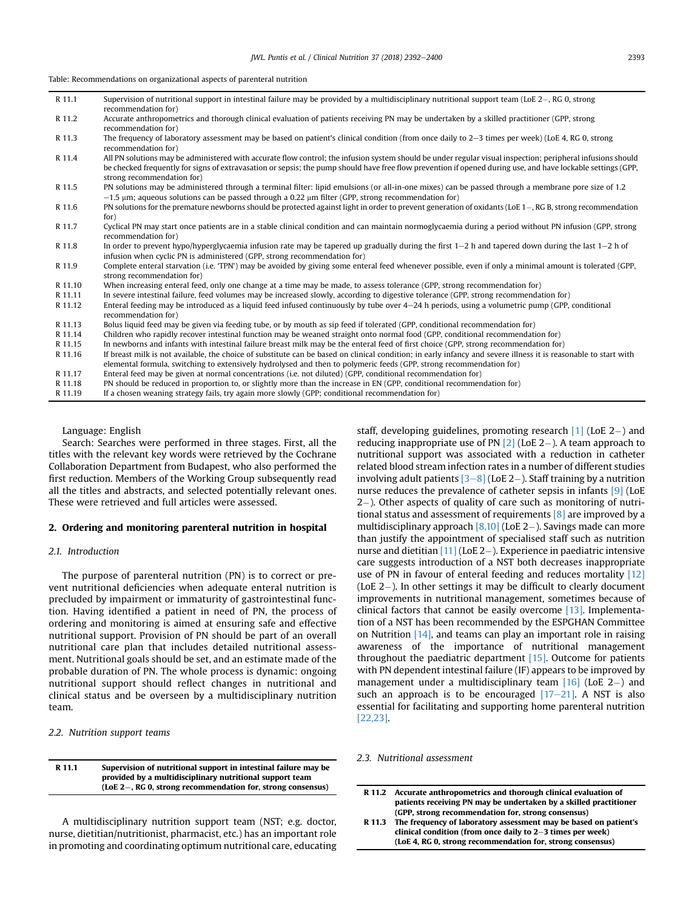# Table: Recommendations on organizational aspects of parenteral nutrition

| R 11.1  | Supervision of nutritional support in intestinal failure may be provided by a multidisciplinary nutritional support team (LoE 2–, RG 0, strong<br>recommendation for)                                                                                                                                                                                     |
|---------|-----------------------------------------------------------------------------------------------------------------------------------------------------------------------------------------------------------------------------------------------------------------------------------------------------------------------------------------------------------|
| R 11.2  | Accurate anthropometrics and thorough clinical evaluation of patients receiving PN may be undertaken by a skilled practitioner (GPP, strong<br>recommendation for)                                                                                                                                                                                        |
| R 11.3  | The frequency of laboratory assessment may be based on patient's clinical condition (from once daily to $2-3$ times per week) (LoE 4, RG 0, strong<br>recommendation for)                                                                                                                                                                                 |
| R 11.4  | All PN solutions may be administered with accurate flow control; the infusion system should be under regular visual inspection; peripheral infusions should<br>be checked frequently for signs of extravasation or sepsis; the pump should have free flow prevention if opened during use, and have lockable settings (GPP,<br>strong recommendation for) |
| R 11.5  | PN solutions may be administered through a terminal filter: lipid emulsions (or all-in-one mixes) can be passed through a membrane pore size of 1.2<br>$-1.5$ $\mu$ m; aqueous solutions can be passed through a 0.22 $\mu$ m filter (GPP, strong recommendation for)                                                                                     |
| R 11.6  | PN solutions for the premature newborns should be protected against light in order to prevent generation of oxidants (LoE 1-, RG B, strong recommendation<br>for)                                                                                                                                                                                         |
| R 11.7  | Cyclical PN may start once patients are in a stable clinical condition and can maintain normoglycaemia during a period without PN infusion (GPP, strong<br>recommendation for)                                                                                                                                                                            |
| R 11.8  | In order to prevent hypo/hyperglycaemia infusion rate may be tapered up gradually during the first $1-2$ h and tapered down during the last $1-2$ h of<br>infusion when cyclic PN is administered (GPP, strong recommendation for)                                                                                                                        |
| R 11.9  | Complete enteral starvation (i.e. 'TPN') may be avoided by giving some enteral feed whenever possible, even if only a minimal amount is tolerated (GPP,<br>strong recommendation for)                                                                                                                                                                     |
| R 11.10 | When increasing enteral feed, only one change at a time may be made, to assess tolerance (GPP, strong recommendation for)                                                                                                                                                                                                                                 |
| R 11.11 | In severe intestinal failure, feed volumes may be increased slowly, according to digestive tolerance (GPP, strong recommendation for)                                                                                                                                                                                                                     |
| R 11.12 | Enteral feeding may be introduced as a liquid feed infused continuously by tube over 4–24 h periods, using a volumetric pump (GPP, conditional<br>recommendation for)                                                                                                                                                                                     |
| R 11.13 | Bolus liquid feed may be given via feeding tube, or by mouth as sip feed if tolerated (GPP, conditional recommendation for)                                                                                                                                                                                                                               |
| R 11.14 | Children who rapidly recover intestinal function may be weaned straight onto normal food (GPP, conditional recommendation for)                                                                                                                                                                                                                            |
| R 11.15 | In newborns and infants with intestinal failure breast milk may be the enteral feed of first choice (GPP, strong recommendation for)                                                                                                                                                                                                                      |
| R 11.16 | If breast milk is not available, the choice of substitute can be based on clinical condition; in early infancy and severe illness it is reasonable to start with<br>elemental formula, switching to extensively hydrolysed and then to polymeric feeds (GPP, strong recommendation for)                                                                   |
| R 11.17 | Enteral feed may be given at normal concentrations (i.e. not diluted) (GPP, conditional recommendation for)                                                                                                                                                                                                                                               |
| R 11.18 | PN should be reduced in proportion to, or slightly more than the increase in EN (GPP, conditional recommendation for)                                                                                                                                                                                                                                     |
| R 11.19 | If a chosen weaning strategy fails, try again more slowly (GPP; conditional recommendation for)                                                                                                                                                                                                                                                           |

Language: English

Search: Searches were performed in three stages. First, all the titles with the relevant key words were retrieved by the Cochrane Collaboration Department from Budapest, who also performed the first reduction. Members of the Working Group subsequently read all the titles and abstracts, and selected potentially relevant ones. These were retrieved and full articles were assessed.

# 2. Ordering and monitoring parenteral nutrition in hospital

# 2.1. Introduction

The purpose of parenteral nutrition (PN) is to correct or prevent nutritional deficiencies when adequate enteral nutrition is precluded by impairment or immaturity of gastrointestinal function. Having identified a patient in need of PN, the process of ordering and monitoring is aimed at ensuring safe and effective nutritional support. Provision of PN should be part of an overall nutritional care plan that includes detailed nutritional assessment. Nutritional goals should be set, and an estimate made of the probable duration of PN. The whole process is dynamic: ongoing nutritional support should reflect changes in nutritional and clinical status and be overseen by a multidisciplinary nutrition team.

# 2.2. Nutrition support teams

R 11.1 Supervision of nutritional support in intestinal failure may be provided by a multidisciplinary nutritional support team

A multidisciplinary nutrition support team (NST; e.g. doctor, nurse, dietitian/nutritionist, pharmacist, etc.) has an important role in promoting and coordinating optimum nutritional care, educating staff, developing guidelines, promoting research  $[1]$  (LoE 2-) and reducing inappropriate use of PN  $[2]$  (LoE 2-). A team approach to nutritional support was associated with a reduction in catheter related blood stream infection rates in a number of different studies involving adult patients  $[3-8]$  $[3-8]$  $[3-8]$  (LoE 2-). Staff training by a nutrition nurse reduces the prevalence of catheter sepsis in infants [\[9\]](#page-6-0) (LoE 2-). Other aspects of quality of care such as monitoring of nutritional status and assessment of requirements [\[8\]](#page-6-0) are improved by a multidisciplinary approach  $[8,10]$  (LoE 2-). Savings made can more than justify the appointment of specialised staff such as nutrition nurse and dietitian  $[11]$  (LoE 2-). Experience in paediatric intensive care suggests introduction of a NST both decreases inappropriate use of PN in favour of enteral feeding and reduces mortality [\[12\]](#page-6-0) (LoE  $2-$ ). In other settings it may be difficult to clearly document improvements in nutritional management, sometimes because of clinical factors that cannot be easily overcome [\[13\]](#page-6-0). Implementation of a NST has been recommended by the ESPGHAN Committee on Nutrition [\[14\]](#page-6-0), and teams can play an important role in raising awareness of the importance of nutritional management throughout the paediatric department [\[15\]](#page-6-0). Outcome for patients with PN dependent intestinal failure (IF) appears to be improved by management under a multidisciplinary team  $[16]$  (LoE 2-) and such an approach is to be encouraged  $[17-21]$  $[17-21]$  $[17-21]$ . A NST is also essential for facilitating and supporting home parenteral nutrition [\[22,23\]](#page-6-0).

# 2.3. Nutritional assessment

(LoE 2–, RG 0, strong recommendation for, strong consensus) R 11.2 Accurate anthropometrics and thorough clinical evaluation of patients receiving PN may be undertaken by a skilled practitioner (GPP, strong recommendation for, strong consensus)

R 11.3 The frequency of laboratory assessment may be based on patient's clinical condition (from once daily to  $2-3$  times per week) (LoE 4, RG 0, strong recommendation for, strong consensus)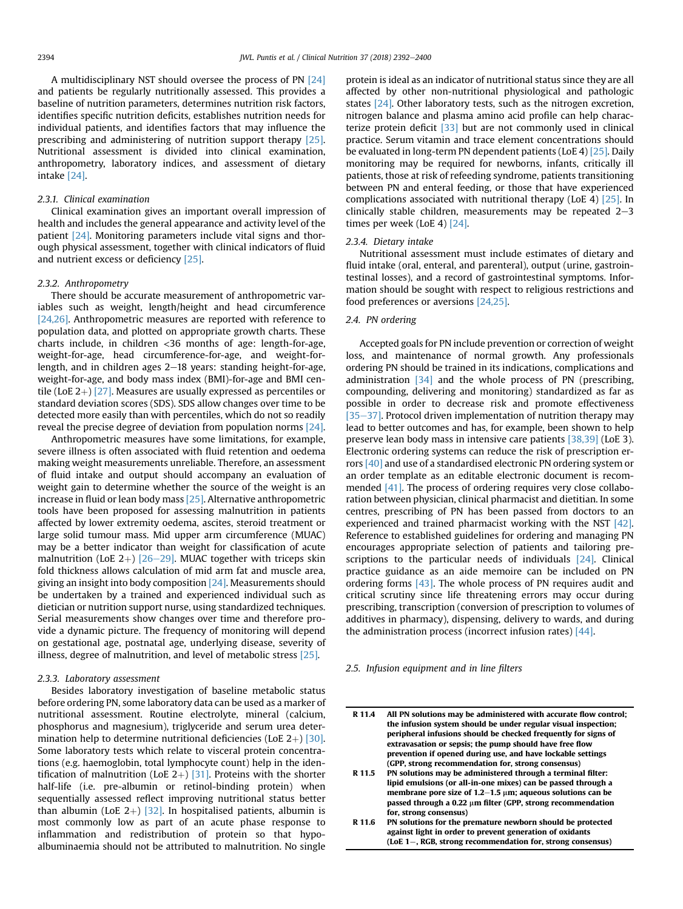A multidisciplinary NST should oversee the process of PN [\[24\]](#page-6-0) and patients be regularly nutritionally assessed. This provides a baseline of nutrition parameters, determines nutrition risk factors, identifies specific nutrition deficits, establishes nutrition needs for individual patients, and identifies factors that may influence the prescribing and administering of nutrition support therapy [\[25\].](#page-6-0) Nutritional assessment is divided into clinical examination, anthropometry, laboratory indices, and assessment of dietary intake [\[24\]](#page-6-0).

# 2.3.1. Clinical examination

Clinical examination gives an important overall impression of health and includes the general appearance and activity level of the patient [\[24\]](#page-6-0). Monitoring parameters include vital signs and thorough physical assessment, together with clinical indicators of fluid and nutrient excess or deficiency [\[25\].](#page-6-0)

#### 2.3.2. Anthropometry

There should be accurate measurement of anthropometric variables such as weight, length/height and head circumference [\[24,26\]](#page-6-0). Anthropometric measures are reported with reference to population data, and plotted on appropriate growth charts. These charts include, in children <36 months of age: length-for-age, weight-for-age, head circumference-for-age, and weight-forlength, and in children ages  $2-18$  years: standing height-for-age, weight-for-age, and body mass index (BMI)-for-age and BMI cen-tile (LoE 2+) [\[27\]](#page-6-0). Measures are usually expressed as percentiles or standard deviation scores (SDS). SDS allow changes over time to be detected more easily than with percentiles, which do not so readily reveal the precise degree of deviation from population norms [\[24\].](#page-6-0)

Anthropometric measures have some limitations, for example, severe illness is often associated with fluid retention and oedema making weight measurements unreliable. Therefore, an assessment of fluid intake and output should accompany an evaluation of weight gain to determine whether the source of the weight is an increase in fluid or lean body mass [\[25\].](#page-6-0) Alternative anthropometric tools have been proposed for assessing malnutrition in patients affected by lower extremity oedema, ascites, steroid treatment or large solid tumour mass. Mid upper arm circumference (MUAC) may be a better indicator than weight for classification of acute malnutrition (LoE 2+)  $[26-29]$  $[26-29]$ . MUAC together with triceps skin fold thickness allows calculation of mid arm fat and muscle area, giving an insight into body composition [\[24\]](#page-6-0). Measurements should be undertaken by a trained and experienced individual such as dietician or nutrition support nurse, using standardized techniques. Serial measurements show changes over time and therefore provide a dynamic picture. The frequency of monitoring will depend on gestational age, postnatal age, underlying disease, severity of illness, degree of malnutrition, and level of metabolic stress [\[25\]](#page-6-0).

# 2.3.3. Laboratory assessment

Besides laboratory investigation of baseline metabolic status before ordering PN, some laboratory data can be used as a marker of nutritional assessment. Routine electrolyte, mineral (calcium, phosphorus and magnesium), triglyceride and serum urea deter-mination help to determine nutritional deficiencies (LoE 2+) [\[30\].](#page-6-0) Some laboratory tests which relate to visceral protein concentrations (e.g. haemoglobin, total lymphocyte count) help in the iden-tification of malnutrition (LoE 2+) [\[31\]](#page-6-0). Proteins with the shorter half-life (i.e. pre-albumin or retinol-binding protein) when sequentially assessed reflect improving nutritional status better than albumin (LoE 2+) [\[32\]](#page-6-0). In hospitalised patients, albumin is most commonly low as part of an acute phase response to inflammation and redistribution of protein so that hypoalbuminaemia should not be attributed to malnutrition. No single protein is ideal as an indicator of nutritional status since they are all affected by other non-nutritional physiological and pathologic states [\[24\].](#page-6-0) Other laboratory tests, such as the nitrogen excretion, nitrogen balance and plasma amino acid profile can help characterize protein deficit [\[33\]](#page-6-0) but are not commonly used in clinical practice. Serum vitamin and trace element concentrations should be evaluated in long-term PN dependent patients (LoE 4) [\[25\].](#page-6-0) Daily monitoring may be required for newborns, infants, critically ill patients, those at risk of refeeding syndrome, patients transitioning between PN and enteral feeding, or those that have experienced complications associated with nutritional therapy (LoE 4) [\[25\].](#page-6-0) In clinically stable children, measurements may be repeated  $2-3$ times per week (LoE 4) [\[24\]](#page-6-0).

# 2.3.4. Dietary intake

Nutritional assessment must include estimates of dietary and fluid intake (oral, enteral, and parenteral), output (urine, gastrointestinal losses), and a record of gastrointestinal symptoms. Information should be sought with respect to religious restrictions and food preferences or aversions [\[24,25\].](#page-6-0)

## 2.4. PN ordering

Accepted goals for PN include prevention or correction of weight loss, and maintenance of normal growth. Any professionals ordering PN should be trained in its indications, complications and administration [\[34\]](#page-6-0) and the whole process of PN (prescribing, compounding, delivering and monitoring) standardized as far as possible in order to decrease risk and promote effectiveness  $[35-37]$  $[35-37]$ . Protocol driven implementation of nutrition therapy may lead to better outcomes and has, for example, been shown to help preserve lean body mass in intensive care patients [\[38,39\]](#page-6-0) (LoE 3). Electronic ordering systems can reduce the risk of prescription errors [\[40\]](#page-6-0) and use of a standardised electronic PN ordering system or an order template as an editable electronic document is recommended [\[41\].](#page-6-0) The process of ordering requires very close collaboration between physician, clinical pharmacist and dietitian. In some centres, prescribing of PN has been passed from doctors to an experienced and trained pharmacist working with the NST [\[42\].](#page-6-0) Reference to established guidelines for ordering and managing PN encourages appropriate selection of patients and tailoring pre-scriptions to the particular needs of individuals [\[24\]](#page-6-0). Clinical practice guidance as an aide memoire can be included on PN ordering forms [\[43\].](#page-6-0) The whole process of PN requires audit and critical scrutiny since life threatening errors may occur during prescribing, transcription (conversion of prescription to volumes of additives in pharmacy), dispensing, delivery to wards, and during the administration process (incorrect infusion rates) [\[44\]](#page-6-0).

2.5. Infusion equipment and in line filters

| R <sub>11.4</sub> | All PN solutions may be administered with accurate flow control; |
|-------------------|------------------------------------------------------------------|
|                   | the infusion system should be under regular visual inspection;   |
|                   | peripheral infusions should be checked frequently for signs of   |
|                   | extravasation or sepsis; the pump should have free flow          |
|                   | prevention if opened during use, and have lockable settings      |
|                   | (GPP, strong recommendation for, strong consensus)               |
| R <sub>11.5</sub> | PN solutions may be administered through a terminal filter:      |
|                   | lipid emulsions (or all-in-one mixes) can be passed through a    |
|                   | membrane pore size of $1.2-1.5 \mu m$ ; aqueous solutions can be |
|                   | passed through a 0.22 µm filter (GPP, strong recommendation      |
|                   | for, strong consensus)                                           |
| R 11.6            | PN solutions for the premature newborn should be protected       |

against light in order to prevent generation of oxidants (LoE  $1-$ , RGB, strong recommendation for, strong consensus)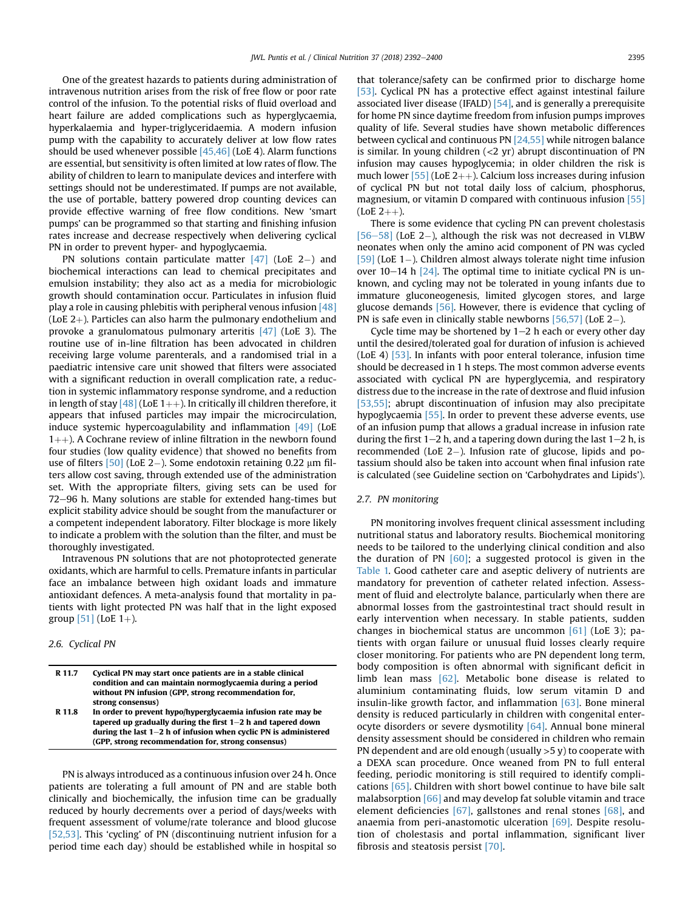One of the greatest hazards to patients during administration of intravenous nutrition arises from the risk of free flow or poor rate control of the infusion. To the potential risks of fluid overload and heart failure are added complications such as hyperglycaemia, hyperkalaemia and hyper-triglyceridaemia. A modern infusion pump with the capability to accurately deliver at low flow rates should be used whenever possible  $[45,46]$  (LoE 4). Alarm functions are essential, but sensitivity is often limited at low rates of flow. The ability of children to learn to manipulate devices and interfere with settings should not be underestimated. If pumps are not available, the use of portable, battery powered drop counting devices can provide effective warning of free flow conditions. New 'smart pumps' can be programmed so that starting and finishing infusion rates increase and decrease respectively when delivering cyclical PN in order to prevent hyper- and hypoglycaemia.

PN solutions contain particulate matter  $[47]$  (LoE 2-) and biochemical interactions can lead to chemical precipitates and emulsion instability; they also act as a media for microbiologic growth should contamination occur. Particulates in infusion fluid play a role in causing phlebitis with peripheral venous infusion  $[48]$ (LoE  $2+$ ). Particles can also harm the pulmonary endothelium and provoke a granulomatous pulmonary arteritis [\[47\]](#page-6-0) (LoE 3). The routine use of in-line filtration has been advocated in children receiving large volume parenterals, and a randomised trial in a paediatric intensive care unit showed that filters were associated with a significant reduction in overall complication rate, a reduction in systemic inflammatory response syndrome, and a reduction in length of stay  $[48]$  (LoE 1++). In critically ill children therefore, it appears that infused particles may impair the microcirculation, induce systemic hypercoagulability and inflammation [\[49\]](#page-6-0) (LoE  $1++$ ). A Cochrane review of inline filtration in the newborn found four studies (low quality evidence) that showed no benefits from use of filters  $[50]$  (LoE 2-). Some endotoxin retaining 0.22  $\mu$ m filters allow cost saving, through extended use of the administration set. With the appropriate filters, giving sets can be used for 72–96 h. Many solutions are stable for extended hang-times but explicit stability advice should be sought from the manufacturer or a competent independent laboratory. Filter blockage is more likely to indicate a problem with the solution than the filter, and must be thoroughly investigated.

Intravenous PN solutions that are not photoprotected generate oxidants, which are harmful to cells. Premature infants in particular face an imbalance between high oxidant loads and immature antioxidant defences. A meta-analysis found that mortality in patients with light protected PN was half that in the light exposed group  $[51]$  (LoE 1+).

# 2.6. Cyclical PN

| R 11.7 | Cyclical PN may start once patients are in a stable clinical<br>condition and can maintain normoglycaemia during a period<br>without PN infusion (GPP, strong recommendation for,<br>strong consensus)                                                     |
|--------|------------------------------------------------------------------------------------------------------------------------------------------------------------------------------------------------------------------------------------------------------------|
| R 11.8 | In order to prevent hypo/hyperglycaemia infusion rate may be<br>tapered up gradually during the first $1-2$ h and tapered down<br>during the last $1-2$ h of infusion when cyclic PN is administered<br>(GPP, strong recommendation for, strong consensus) |

PN is always introduced as a continuous infusion over 24 h. Once patients are tolerating a full amount of PN and are stable both clinically and biochemically, the infusion time can be gradually reduced by hourly decrements over a period of days/weeks with frequent assessment of volume/rate tolerance and blood glucose [\[52,53\]](#page-6-0). This 'cycling' of PN (discontinuing nutrient infusion for a period time each day) should be established while in hospital so that tolerance/safety can be confirmed prior to discharge home [\[53\].](#page-6-0) Cyclical PN has a protective effect against intestinal failure associated liver disease (IFALD)  $[54]$ , and is generally a prerequisite for home PN since daytime freedom from infusion pumps improves quality of life. Several studies have shown metabolic differences between cyclical and continuous PN [\[24,55\]](#page-6-0) while nitrogen balance is similar. In young children  $(<2$  yr) abrupt discontinuation of PN infusion may causes hypoglycemia; in older children the risk is much lower [\[55\]](#page-7-0) (LoE 2++). Calcium loss increases during infusion of cyclical PN but not total daily loss of calcium, phosphorus, magnesium, or vitamin D compared with continuous infusion [\[55\]](#page-7-0)  $(LoE 2++)$ .

There is some evidence that cycling PN can prevent cholestasis  $[56-58]$  $[56-58]$  $[56-58]$  (LoE 2-), although the risk was not decreased in VLBW neonates when only the amino acid component of PN was cycled [\[59\]](#page-7-0) (LoE 1–). Children almost always tolerate night time infusion over 10–14 h  $[24]$ . The optimal time to initiate cyclical PN is unknown, and cycling may not be tolerated in young infants due to immature gluconeogenesis, limited glycogen stores, and large glucose demands [\[56\].](#page-7-0) However, there is evidence that cycling of PN is safe even in clinically stable newborns  $[56,57]$  (LoE 2-).

Cycle time may be shortened by  $1-2$  h each or every other day until the desired/tolerated goal for duration of infusion is achieved (LoE 4) [\[53\].](#page-6-0) In infants with poor enteral tolerance, infusion time should be decreased in 1 h steps. The most common adverse events associated with cyclical PN are hyperglycemia, and respiratory distress due to the increase in the rate of dextrose and fluid infusion [\[53,55\]](#page-6-0); abrupt discontinuation of infusion may also precipitate hypoglycaemia [\[55\]](#page-7-0). In order to prevent these adverse events, use of an infusion pump that allows a gradual increase in infusion rate during the first  $1-2$  h, and a tapering down during the last  $1-2$  h, is recommended (LoE  $2-$ ). Infusion rate of glucose, lipids and potassium should also be taken into account when final infusion rate is calculated (see Guideline section on 'Carbohydrates and Lipids').

# 2.7. PN monitoring

PN monitoring involves frequent clinical assessment including nutritional status and laboratory results. Biochemical monitoring needs to be tailored to the underlying clinical condition and also the duration of PN  $[60]$ ; a suggested protocol is given in the [Table 1.](#page-4-0) Good catheter care and aseptic delivery of nutrients are mandatory for prevention of catheter related infection. Assessment of fluid and electrolyte balance, particularly when there are abnormal losses from the gastrointestinal tract should result in early intervention when necessary. In stable patients, sudden changes in biochemical status are uncommon [\[61\]](#page-7-0) (LoE 3); patients with organ failure or unusual fluid losses clearly require closer monitoring. For patients who are PN dependent long term, body composition is often abnormal with significant deficit in limb lean mass [\[62\]](#page-7-0). Metabolic bone disease is related to aluminium contaminating fluids, low serum vitamin D and insulin-like growth factor, and inflammation  $[63]$ . Bone mineral density is reduced particularly in children with congenital enter-ocyte disorders or severe dysmotility [\[64\]](#page-7-0). Annual bone mineral density assessment should be considered in children who remain PN dependent and are old enough (usually  $>5$  y) to cooperate with a DEXA scan procedure. Once weaned from PN to full enteral feeding, periodic monitoring is still required to identify complications [\[65\]](#page-7-0). Children with short bowel continue to have bile salt malabsorption  $[66]$  and may develop fat soluble vitamin and trace element deficiencies [\[67\],](#page-7-0) gallstones and renal stones [\[68\],](#page-7-0) and anaemia from peri-anastomotic ulceration [\[69\]](#page-7-0). Despite resolution of cholestasis and portal inflammation, significant liver fibrosis and steatosis persist [\[70\].](#page-7-0)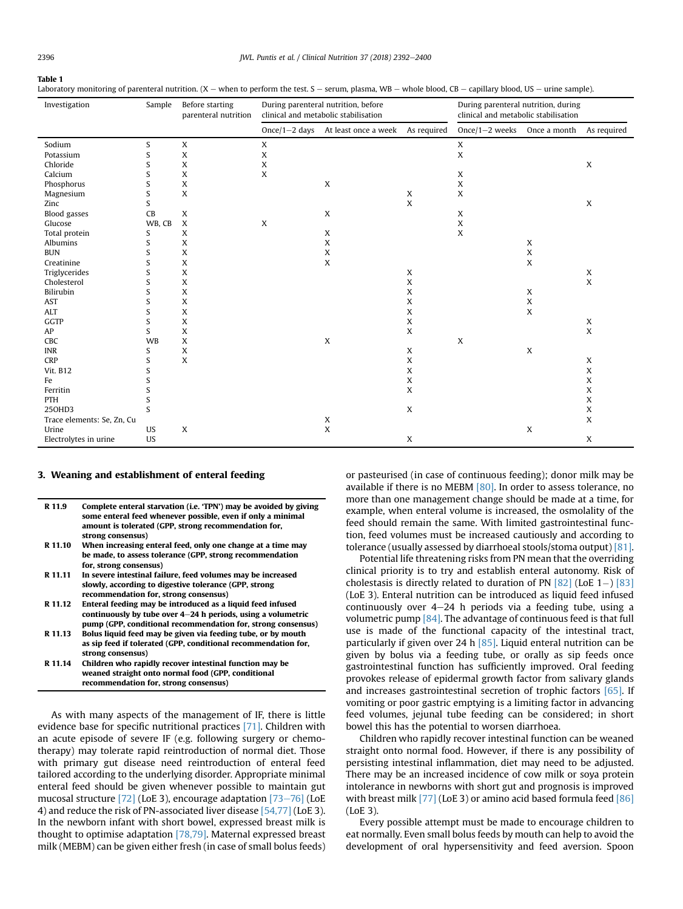#### <span id="page-4-0"></span>Table 1

Laboratory monitoring of parenteral nutrition.  $(X -$  when to perform the test.  $S -$  serum, plasma, WB  $-$  whole blood, CB  $-$  capillary blood, US  $-$  urine sample).

| Investigation              | Sample    | Before starting<br>parenteral nutrition | During parenteral nutrition, before<br>clinical and metabolic stabilisation |                                                | During parenteral nutrition, during<br>clinical and metabolic stabilisation |                                |   |             |
|----------------------------|-----------|-----------------------------------------|-----------------------------------------------------------------------------|------------------------------------------------|-----------------------------------------------------------------------------|--------------------------------|---|-------------|
|                            |           |                                         |                                                                             | Once/1-2 days At least once a week As required |                                                                             | Once/ $1-2$ weeks Once a month |   | As required |
| Sodium                     | S         | X                                       | X                                                                           |                                                |                                                                             | X                              |   |             |
| Potassium                  | S         | X                                       | X                                                                           |                                                |                                                                             | X                              |   |             |
| Chloride                   | S         | X                                       | X                                                                           |                                                |                                                                             |                                |   | X           |
| Calcium                    | S         | X                                       | X                                                                           |                                                |                                                                             | X                              |   |             |
| Phosphorus                 | S         | X                                       |                                                                             | X                                              |                                                                             | X                              |   |             |
| Magnesium                  | S         | X                                       |                                                                             |                                                | X                                                                           | X                              |   |             |
| Zinc                       | S         |                                         |                                                                             |                                                | X                                                                           |                                |   | X           |
| Blood gasses               | CB        | X                                       |                                                                             | X                                              |                                                                             | X                              |   |             |
| Glucose                    | WB, CB    | X                                       | X                                                                           |                                                |                                                                             | X                              |   |             |
| Total protein              | S         | X                                       |                                                                             | X                                              |                                                                             | X                              |   |             |
| Albumins                   | S         | X                                       |                                                                             | X                                              |                                                                             |                                | X |             |
| <b>BUN</b>                 | S         | X                                       |                                                                             | X                                              |                                                                             |                                | X |             |
| Creatinine                 | S         | X                                       |                                                                             | X                                              |                                                                             |                                | X |             |
| Triglycerides              | S         | X                                       |                                                                             |                                                | X                                                                           |                                |   | X           |
| Cholesterol                | S         | X                                       |                                                                             |                                                | X                                                                           |                                |   | X           |
| Bilirubin                  | S         | X                                       |                                                                             |                                                | X                                                                           |                                | X |             |
| AST                        | S         | X                                       |                                                                             |                                                | X                                                                           |                                | X |             |
| ALT                        | S         | X                                       |                                                                             |                                                | X                                                                           |                                | X |             |
| GGTP                       | S         | X                                       |                                                                             |                                                | X                                                                           |                                |   | X           |
| AP                         | S         | X                                       |                                                                             |                                                | X                                                                           |                                |   | X           |
| CBC                        | <b>WB</b> | X                                       |                                                                             | X                                              |                                                                             | X                              |   |             |
| <b>INR</b>                 | S         | X                                       |                                                                             |                                                | X                                                                           |                                | X |             |
| <b>CRP</b>                 | S         | X                                       |                                                                             |                                                | X                                                                           |                                |   | X           |
| Vit. B12                   | S         |                                         |                                                                             |                                                | X                                                                           |                                |   | X           |
| Fe                         | S         |                                         |                                                                             |                                                | X                                                                           |                                |   | X           |
| Ferritin                   | S         |                                         |                                                                             |                                                | X                                                                           |                                |   | X           |
| PTH                        | S         |                                         |                                                                             |                                                |                                                                             |                                |   | X           |
| 250HD3                     | S         |                                         |                                                                             |                                                | X                                                                           |                                |   | X           |
| Trace elements: Se, Zn, Cu |           |                                         | X                                                                           |                                                |                                                                             |                                | X |             |
| Urine                      | <b>US</b> | X                                       |                                                                             | $\mathbf X$                                    |                                                                             |                                | X |             |
| Electrolytes in urine      | <b>US</b> |                                         |                                                                             |                                                | X                                                                           |                                |   | X           |

# 3. Weaning and establishment of enteral feeding

- R 11.9 Complete enteral starvation (i.e. 'TPN') may be avoided by giving some enteral feed whenever possible, even if only a minimal amount is tolerated (GPP, strong recommendation for, strong consensus)
- R 11.10 When increasing enteral feed, only one change at a time may be made, to assess tolerance (GPP, strong recommendation for, strong consensus)
- R 11.11 In severe intestinal failure, feed volumes may be increased slowly, according to digestive tolerance (GPP, strong recommendation for, strong consensus)
- R 11.12 Enteral feeding may be introduced as a liquid feed infused continuously by tube over  $4-24$  h periods, using a volumetric pump (GPP, conditional recommendation for, strong consensus)
- R 11.13 Bolus liquid feed may be given via feeding tube, or by mouth as sip feed if tolerated (GPP, conditional recommendation for, strong consensus)
- R 11.14 Children who rapidly recover intestinal function may be weaned straight onto normal food (GPP, conditional recommendation for, strong consensus)

As with many aspects of the management of IF, there is little evidence base for specific nutritional practices [\[71\]](#page-7-0). Children with an acute episode of severe IF (e.g. following surgery or chemotherapy) may tolerate rapid reintroduction of normal diet. Those with primary gut disease need reintroduction of enteral feed tailored according to the underlying disorder. Appropriate minimal enteral feed should be given whenever possible to maintain gut mucosal structure [\[72\]](#page-7-0) (LoE 3), encourage adaptation  $[73-76]$  $[73-76]$  $[73-76]$  (LoE 4) and reduce the risk of PN-associated liver disease [\[54,77\]](#page-7-0) (LoE 3). In the newborn infant with short bowel, expressed breast milk is thought to optimise adaptation [\[78,79\].](#page-7-0) Maternal expressed breast milk (MEBM) can be given either fresh (in case of small bolus feeds) or pasteurised (in case of continuous feeding); donor milk may be available if there is no MEBM [\[80\].](#page-7-0) In order to assess tolerance, no more than one management change should be made at a time, for example, when enteral volume is increased, the osmolality of the feed should remain the same. With limited gastrointestinal function, feed volumes must be increased cautiously and according to tolerance (usually assessed by diarrhoeal stools/stoma output) [\[81\].](#page-7-0)

Potential life threatening risks from PN mean that the overriding clinical priority is to try and establish enteral autonomy. Risk of cholestasis is directly related to duration of PN  $[82]$  (LoE 1-)  $[83]$ (LoE 3). Enteral nutrition can be introduced as liquid feed infused continuously over  $4-24$  h periods via a feeding tube, using a volumetric pump [\[84\]](#page-7-0). The advantage of continuous feed is that full use is made of the functional capacity of the intestinal tract, particularly if given over 24 h [\[85\].](#page-7-0) Liquid enteral nutrition can be given by bolus via a feeding tube, or orally as sip feeds once gastrointestinal function has sufficiently improved. Oral feeding provokes release of epidermal growth factor from salivary glands and increases gastrointestinal secretion of trophic factors [\[65\]](#page-7-0). If vomiting or poor gastric emptying is a limiting factor in advancing feed volumes, jejunal tube feeding can be considered; in short bowel this has the potential to worsen diarrhoea.

Children who rapidly recover intestinal function can be weaned straight onto normal food. However, if there is any possibility of persisting intestinal inflammation, diet may need to be adjusted. There may be an increased incidence of cow milk or soya protein intolerance in newborns with short gut and prognosis is improved with breast milk [\[77\]](#page-7-0) (LoE 3) or amino acid based formula feed [\[86\]](#page-7-0) (LoE 3).

Every possible attempt must be made to encourage children to eat normally. Even small bolus feeds by mouth can help to avoid the development of oral hypersensitivity and feed aversion. Spoon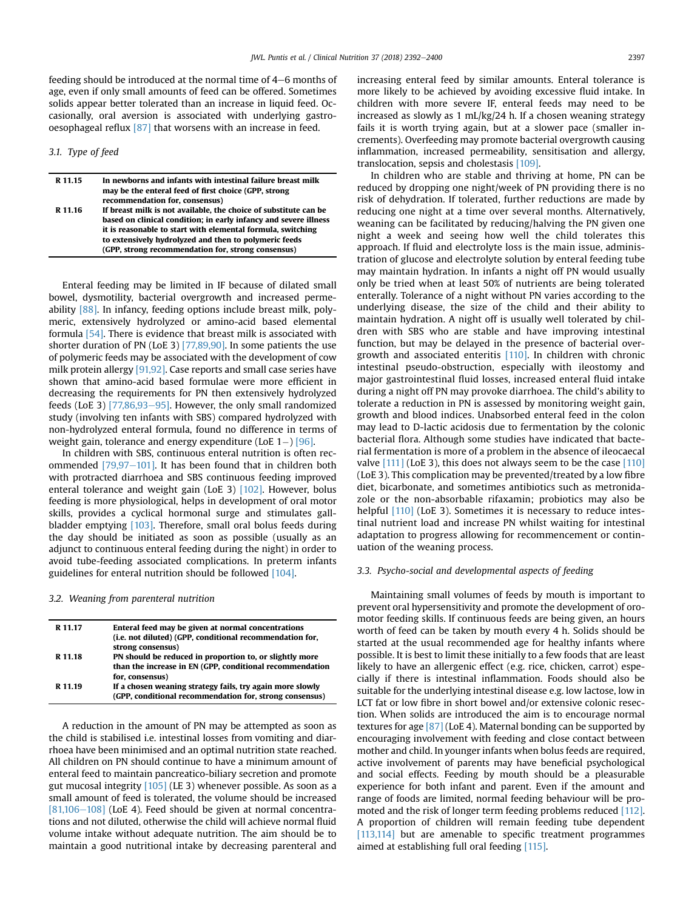feeding should be introduced at the normal time of  $4-6$  months of age, even if only small amounts of feed can be offered. Sometimes solids appear better tolerated than an increase in liquid feed. Occasionally, oral aversion is associated with underlying gastrooesophageal reflux [\[87\]](#page-7-0) that worsens with an increase in feed.

3.1. Type of feed

| R 11.15 | In newborns and infants with intestinal failure breast milk      |
|---------|------------------------------------------------------------------|
|         | may be the enteral feed of first choice (GPP, strong             |
|         | recommendation for, consensus)                                   |
| R 11.16 | If breast milk is not available, the choice of substitute can be |
|         | based on clinical condition; in early infancy and severe illness |
|         | it is reasonable to start with elemental formula, switching      |
|         | to extensively hydrolyzed and then to polymeric feeds            |
|         | (GPP, strong recommendation for, strong consensus)               |
|         |                                                                  |

Enteral feeding may be limited in IF because of dilated small bowel, dysmotility, bacterial overgrowth and increased permeability [\[88\].](#page-7-0) In infancy, feeding options include breast milk, polymeric, extensively hydrolyzed or amino-acid based elemental formula [\[54\]](#page-7-0). There is evidence that breast milk is associated with shorter duration of PN (LoE 3) [\[77,89,90\]](#page-7-0). In some patients the use of polymeric feeds may be associated with the development of cow milk protein allergy [\[91,92\]](#page-7-0). Case reports and small case series have shown that amino-acid based formulae were more efficient in decreasing the requirements for PN then extensively hydrolyzed feeds (LoE 3)  $[77,86,93-95]$  $[77,86,93-95]$ . However, the only small randomized study (involving ten infants with SBS) compared hydrolyzed with non-hydrolyzed enteral formula, found no difference in terms of weight gain, tolerance and energy expenditure (LoE  $1-$ ) [\[96\]](#page-7-0).

In children with SBS, continuous enteral nutrition is often recommended  $[79,97-101]$  $[79,97-101]$  $[79,97-101]$ . It has been found that in children both with protracted diarrhoea and SBS continuous feeding improved enteral tolerance and weight gain (LoE 3)  $[102]$ . However, bolus feeding is more physiological, helps in development of oral motor skills, provides a cyclical hormonal surge and stimulates gallbladder emptying [\[103\].](#page-7-0) Therefore, small oral bolus feeds during the day should be initiated as soon as possible (usually as an adjunct to continuous enteral feeding during the night) in order to avoid tube-feeding associated complications. In preterm infants guidelines for enteral nutrition should be followed [\[104\].](#page-7-0)

3.2. Weaning from parenteral nutrition

| R 11.17 | Enteral feed may be given at normal concentrations        |
|---------|-----------------------------------------------------------|
|         | (i.e. not diluted) (GPP, conditional recommendation for,  |
|         | strong consensus)                                         |
| R 11.18 | PN should be reduced in proportion to, or slightly more   |
|         | than the increase in EN (GPP, conditional recommendation  |
|         | for. consensus)                                           |
| R 11.19 | If a chosen weaning strategy fails, try again more slowly |
|         | (GPP, conditional recommendation for, strong consensus)   |
|         |                                                           |

A reduction in the amount of PN may be attempted as soon as the child is stabilised i.e. intestinal losses from vomiting and diarrhoea have been minimised and an optimal nutrition state reached. All children on PN should continue to have a minimum amount of enteral feed to maintain pancreatico-biliary secretion and promote gut mucosal integrity [\[105\]](#page-7-0) (LE 3) whenever possible. As soon as a small amount of feed is tolerated, the volume should be increased  $[81,106-108]$  $[81,106-108]$  $[81,106-108]$  (LoE 4). Feed should be given at normal concentrations and not diluted, otherwise the child will achieve normal fluid volume intake without adequate nutrition. The aim should be to maintain a good nutritional intake by decreasing parenteral and increasing enteral feed by similar amounts. Enteral tolerance is more likely to be achieved by avoiding excessive fluid intake. In children with more severe IF, enteral feeds may need to be increased as slowly as 1 mL/kg/24 h. If a chosen weaning strategy fails it is worth trying again, but at a slower pace (smaller increments). Overfeeding may promote bacterial overgrowth causing inflammation, increased permeability, sensitisation and allergy, translocation, sepsis and cholestasis [\[109\].](#page-7-0)

In children who are stable and thriving at home, PN can be reduced by dropping one night/week of PN providing there is no risk of dehydration. If tolerated, further reductions are made by reducing one night at a time over several months. Alternatively, weaning can be facilitated by reducing/halving the PN given one night a week and seeing how well the child tolerates this approach. If fluid and electrolyte loss is the main issue, administration of glucose and electrolyte solution by enteral feeding tube may maintain hydration. In infants a night off PN would usually only be tried when at least 50% of nutrients are being tolerated enterally. Tolerance of a night without PN varies according to the underlying disease, the size of the child and their ability to maintain hydration. A night off is usually well tolerated by children with SBS who are stable and have improving intestinal function, but may be delayed in the presence of bacterial overgrowth and associated enteritis [\[110\].](#page-7-0) In children with chronic intestinal pseudo-obstruction, especially with ileostomy and major gastrointestinal fluid losses, increased enteral fluid intake during a night off PN may provoke diarrhoea. The child's ability to tolerate a reduction in PN is assessed by monitoring weight gain, growth and blood indices. Unabsorbed enteral feed in the colon may lead to D-lactic acidosis due to fermentation by the colonic bacterial flora. Although some studies have indicated that bacterial fermentation is more of a problem in the absence of ileocaecal valve  $[111]$  (LoE 3), this does not always seem to be the case  $[110]$ (LoE 3). This complication may be prevented/treated by a low fibre diet, bicarbonate, and sometimes antibiotics such as metronidazole or the non-absorbable rifaxamin; probiotics may also be helpful [\[110\]](#page-7-0) (LoE 3). Sometimes it is necessary to reduce intestinal nutrient load and increase PN whilst waiting for intestinal adaptation to progress allowing for recommencement or continuation of the weaning process.

# 3.3. Psycho-social and developmental aspects of feeding

Maintaining small volumes of feeds by mouth is important to prevent oral hypersensitivity and promote the development of oromotor feeding skills. If continuous feeds are being given, an hours worth of feed can be taken by mouth every 4 h. Solids should be started at the usual recommended age for healthy infants where possible. It is best to limit these initially to a few foods that are least likely to have an allergenic effect (e.g. rice, chicken, carrot) especially if there is intestinal inflammation. Foods should also be suitable for the underlying intestinal disease e.g. low lactose, low in LCT fat or low fibre in short bowel and/or extensive colonic resection. When solids are introduced the aim is to encourage normal textures for age  $[87]$  (LoE 4). Maternal bonding can be supported by encouraging involvement with feeding and close contact between mother and child. In younger infants when bolus feeds are required, active involvement of parents may have beneficial psychological and social effects. Feeding by mouth should be a pleasurable experience for both infant and parent. Even if the amount and range of foods are limited, normal feeding behaviour will be promoted and the risk of longer term feeding problems reduced [\[112\].](#page-8-0) A proportion of children will remain feeding tube dependent [\[113,114\]](#page-8-0) but are amenable to specific treatment programmes aimed at establishing full oral feeding [\[115\]](#page-8-0).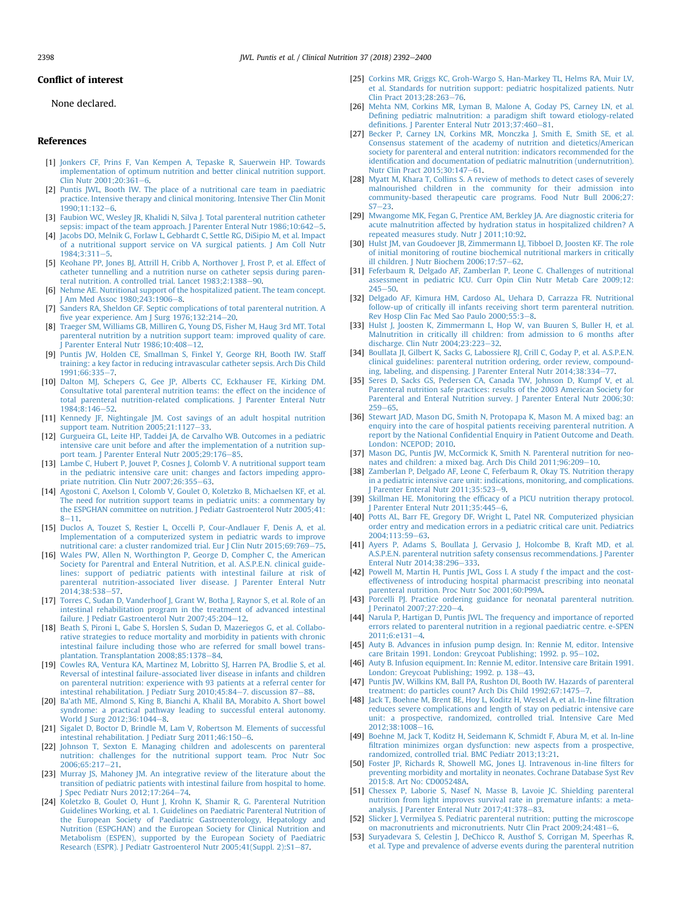<span id="page-6-0"></span>None declared.

# References

- [1] [Jonkers CF, Prins F, Van Kempen A, Tepaske R, Sauerwein HP. Towards](http://refhub.elsevier.com/S0261-5614(18)31172-5/sref1) [implementation of optimum nutrition and better clinical nutrition support.](http://refhub.elsevier.com/S0261-5614(18)31172-5/sref1) [Clin Nutr 2001;20:361](http://refhub.elsevier.com/S0261-5614(18)31172-5/sref1)-[6.](http://refhub.elsevier.com/S0261-5614(18)31172-5/sref1)
- [2] [Puntis JWL, Booth IW. The place of a nutritional care team in paediatric](http://refhub.elsevier.com/S0261-5614(18)31172-5/sref2) [practice. Intensive therapy and clinical monitoring. Intensive Ther Clin Monit](http://refhub.elsevier.com/S0261-5614(18)31172-5/sref2) [1990;11:132](http://refhub.elsevier.com/S0261-5614(18)31172-5/sref2)-[6.](http://refhub.elsevier.com/S0261-5614(18)31172-5/sref2)
- [3] [Faubion WC, Wesley JR, Khalidi N, Silva J. Total parenteral nutrition catheter](http://refhub.elsevier.com/S0261-5614(18)31172-5/sref3) [sepsis: impact of the team approach. J Parenter Enteral Nutr 1986;10:642](http://refhub.elsevier.com/S0261-5614(18)31172-5/sref3)-[5](http://refhub.elsevier.com/S0261-5614(18)31172-5/sref3).
- [4] [Jacobs DO, Melnik G, Forlaw L, Gebhardt C, Settle RG, DiSipio M, et al. Impact](http://refhub.elsevier.com/S0261-5614(18)31172-5/sref4) [of a nutritional support service on VA surgical patients. J Am Coll Nutr](http://refhub.elsevier.com/S0261-5614(18)31172-5/sref4)  $1984;3:311-5.$  $1984;3:311-5.$  $1984;3:311-5.$  $1984;3:311-5.$
- [5] [Keohane PP, Jones BJ, Attrill H, Cribb A, Northover J, Frost P, et al. Effect of](http://refhub.elsevier.com/S0261-5614(18)31172-5/sref5) [catheter tunnelling and a nutrition nurse on catheter sepsis during paren](http://refhub.elsevier.com/S0261-5614(18)31172-5/sref5)teral nutrition. A controlled trial. Lancet  $1983;2:1388-90$  $1983;2:1388-90$ .
- [6] [Nehme AE. Nutritional support of the hospitalized patient. The team concept.](http://refhub.elsevier.com/S0261-5614(18)31172-5/sref6) [J Am Med Assoc 1980;243:1906](http://refhub.elsevier.com/S0261-5614(18)31172-5/sref6)-[8](http://refhub.elsevier.com/S0261-5614(18)31172-5/sref6).
- [7] [Sanders RA, Sheldon GF. Septic complications of total parenteral nutrition. A](http://refhub.elsevier.com/S0261-5614(18)31172-5/sref7) five year experience. Am J Surg  $1976;132:214-20$ .
- [8] [Traeger SM, Williams GB, Milliren G, Young DS, Fisher M, Haug 3rd MT. Total](http://refhub.elsevier.com/S0261-5614(18)31172-5/sref8) [parenteral nutrition by a nutrition support team: improved quality of care.](http://refhub.elsevier.com/S0261-5614(18)31172-5/sref8) Parenter Enteral Nutr  $1986;10:408-12$ .
- [9] [Puntis JW, Holden CE, Smallman S, Finkel Y, George RH, Booth IW. Staff](http://refhub.elsevier.com/S0261-5614(18)31172-5/sref9) [training: a key factor in reducing intravascular catheter sepsis. Arch Dis Child](http://refhub.elsevier.com/S0261-5614(18)31172-5/sref9) [1991;66:335](http://refhub.elsevier.com/S0261-5614(18)31172-5/sref9)-[7.](http://refhub.elsevier.com/S0261-5614(18)31172-5/sref9)
- [10] [Dalton MJ, Schepers G, Gee JP, Alberts CC, Eckhauser FE, Kirking DM.](http://refhub.elsevier.com/S0261-5614(18)31172-5/sref10) [Consultative total parenteral nutrition teams: the effect on the incidence of](http://refhub.elsevier.com/S0261-5614(18)31172-5/sref10) [total parenteral nutrition-related complications. J Parenter Enteral Nutr](http://refhub.elsevier.com/S0261-5614(18)31172-5/sref10) 1984:8:146-[52](http://refhub.elsevier.com/S0261-5614(18)31172-5/sref10)
- [11] [Kennedy JF, Nightingale JM. Cost savings of an adult hospital nutrition](http://refhub.elsevier.com/S0261-5614(18)31172-5/sref11) support team. Nutrition  $2005;21:1127-33$ .
- [12] [Gurgueira GL, Leite HP, Taddei JA, de Carvalho WB. Outcomes in a pediatric](http://refhub.elsevier.com/S0261-5614(18)31172-5/sref12) [intensive care unit before and after the implementation of a nutrition sup](http://refhub.elsevier.com/S0261-5614(18)31172-5/sref12)[port team. J Parenter Enteral Nutr 2005;29:176](http://refhub.elsevier.com/S0261-5614(18)31172-5/sref12)-[85](http://refhub.elsevier.com/S0261-5614(18)31172-5/sref12).
- [13] [Lambe C, Hubert P, Jouvet P, Cosnes J, Colomb V. A nutritional support team](http://refhub.elsevier.com/S0261-5614(18)31172-5/sref13) [in the pediatric intensive care unit: changes and factors impeding appro](http://refhub.elsevier.com/S0261-5614(18)31172-5/sref13)priate nutrition. Clin Nutr  $2007;26:355-63$ .
- [14] [Agostoni C, Axelson I, Colomb V, Goulet O, Koletzko B, Michaelsen KF, et al.](http://refhub.elsevier.com/S0261-5614(18)31172-5/sref14) [The need for nutrition support teams in pediatric units: a commentary by](http://refhub.elsevier.com/S0261-5614(18)31172-5/sref14) [the ESPGHAN committee on nutrition. J Pediatr Gastroenterol Nutr 2005;41:](http://refhub.elsevier.com/S0261-5614(18)31172-5/sref14)  $8 - 11.$  $8 - 11.$  $8 - 11.$
- [15] [Duclos A, Touzet S, Restier L, Occelli P, Cour-Andlauer F, Denis A, et al.](http://refhub.elsevier.com/S0261-5614(18)31172-5/sref15) [Implementation of a computerized system in pediatric wards to improve](http://refhub.elsevier.com/S0261-5614(18)31172-5/sref15) [nutritional care: a cluster randomized trial. Eur J Clin Nutr 2015;69:769](http://refhub.elsevier.com/S0261-5614(18)31172-5/sref15)-[75](http://refhub.elsevier.com/S0261-5614(18)31172-5/sref15).
- [16] [Wales PW, Allen N, Worthington P, George D, Compher C, the American](http://refhub.elsevier.com/S0261-5614(18)31172-5/sref16) [Society for Parentral and Enteral Nutrition, et al. A.S.P.E.N. clinical guide](http://refhub.elsevier.com/S0261-5614(18)31172-5/sref16)[lines: support of pediatric patients with intestinal failure at risk of](http://refhub.elsevier.com/S0261-5614(18)31172-5/sref16) [parenteral nutrition-associated liver disease. J Parenter Enteral Nutr](http://refhub.elsevier.com/S0261-5614(18)31172-5/sref16)  $2014:38:538 - 57.$  $2014:38:538 - 57.$  $2014:38:538 - 57.$
- [17] [Torres C, Sudan D, Vanderhoof J, Grant W, Botha J, Raynor S, et al. Role of an](http://refhub.elsevier.com/S0261-5614(18)31172-5/sref17) [intestinal rehabilitation program in the treatment of advanced intestinal](http://refhub.elsevier.com/S0261-5614(18)31172-5/sref17) [failure. J Pediatr Gastroenterol Nutr 2007;45:204](http://refhub.elsevier.com/S0261-5614(18)31172-5/sref17)-[12.](http://refhub.elsevier.com/S0261-5614(18)31172-5/sref17)
- [18] [Beath S, Pironi L, Gabe S, Horslen S, Sudan D, Mazeriegos G, et al. Collabo](http://refhub.elsevier.com/S0261-5614(18)31172-5/sref18)[rative strategies to reduce mortality and morbidity in patients with chronic](http://refhub.elsevier.com/S0261-5614(18)31172-5/sref18) [intestinal failure including those who are referred for small bowel trans](http://refhub.elsevier.com/S0261-5614(18)31172-5/sref18) $plantation.$  Transplantation  $2008;85:1378-84.$  $2008;85:1378-84.$
- [19] [Cowles RA, Ventura KA, Martinez M, Lobritto SJ, Harren PA, Brodlie S, et al.](http://refhub.elsevier.com/S0261-5614(18)31172-5/sref19) [Reversal of intestinal failure-associated liver disease in infants and children](http://refhub.elsevier.com/S0261-5614(18)31172-5/sref19) [on parenteral nutrition: experience with 93 patients at a referral center for](http://refhub.elsevier.com/S0261-5614(18)31172-5/sref19) [intestinal rehabilitation. J Pediatr Surg 2010;45:84](http://refhub.elsevier.com/S0261-5614(18)31172-5/sref19)-[7. discussion 87](http://refhub.elsevier.com/S0261-5614(18)31172-5/sref19)-[88.](http://refhub.elsevier.com/S0261-5614(18)31172-5/sref19)
- [20] [Ba'ath ME, Almond S, King B, Bianchi A, Khalil BA, Morabito A. Short bowel](http://refhub.elsevier.com/S0261-5614(18)31172-5/sref20) [syndrome: a practical pathway leading to successful enteral autonomy.](http://refhub.elsevier.com/S0261-5614(18)31172-5/sref20) World J Surg 2012:36:1044-[8](http://refhub.elsevier.com/S0261-5614(18)31172-5/sref20).
- [21] [Sigalet D, Boctor D, Brindle M, Lam V, Robertson M. Elements of successful](http://refhub.elsevier.com/S0261-5614(18)31172-5/sref21) [intestinal rehabilitation. J Pediatr Surg 2011;46:150](http://refhub.elsevier.com/S0261-5614(18)31172-5/sref21)-[6](http://refhub.elsevier.com/S0261-5614(18)31172-5/sref21).
- [22] [Johnson T, Sexton E. Managing children and adolescents on parenteral](http://refhub.elsevier.com/S0261-5614(18)31172-5/sref22) [nutrition: challenges for the nutritional support team. Proc Nutr Soc](http://refhub.elsevier.com/S0261-5614(18)31172-5/sref22) [2006;65:217](http://refhub.elsevier.com/S0261-5614(18)31172-5/sref22)-21
- [23] [Murray JS, Mahoney JM. An integrative review of the literature about the](http://refhub.elsevier.com/S0261-5614(18)31172-5/sref23) [transition of pediatric patients with intestinal failure from hospital to home.](http://refhub.elsevier.com/S0261-5614(18)31172-5/sref23) [J Spec Pediatr Nurs 2012;17:264](http://refhub.elsevier.com/S0261-5614(18)31172-5/sref23)-[74.](http://refhub.elsevier.com/S0261-5614(18)31172-5/sref23)
- [24] [Koletzko B, Goulet O, Hunt J, Krohn K, Shamir R, G. Parenteral Nutrition](http://refhub.elsevier.com/S0261-5614(18)31172-5/sref24) [Guidelines Working, et al. 1. Guidelines on Paediatric Parenteral Nutrition of](http://refhub.elsevier.com/S0261-5614(18)31172-5/sref24) [the European Society of Paediatric Gastroenterology, Hepatology and](http://refhub.elsevier.com/S0261-5614(18)31172-5/sref24) [Nutrition \(ESPGHAN\) and the European Society for Clinical Nutrition and](http://refhub.elsevier.com/S0261-5614(18)31172-5/sref24) [Metabolism \(ESPEN\), supported by the European Society of Paediatric](http://refhub.elsevier.com/S0261-5614(18)31172-5/sref24) [Research \(ESPR\). J Pediatr Gastroenterol Nutr 2005;41\(Suppl. 2\):S1](http://refhub.elsevier.com/S0261-5614(18)31172-5/sref24)-[87.](http://refhub.elsevier.com/S0261-5614(18)31172-5/sref24)
- [25] [Corkins MR, Griggs KC, Groh-Wargo S, Han-Markey TL, Helms RA, Muir LV,](http://refhub.elsevier.com/S0261-5614(18)31172-5/sref25) [et al. Standards for nutrition support: pediatric hospitalized patients. Nutr](http://refhub.elsevier.com/S0261-5614(18)31172-5/sref25) [Clin Pract 2013;28:263](http://refhub.elsevier.com/S0261-5614(18)31172-5/sref25)-[76](http://refhub.elsevier.com/S0261-5614(18)31172-5/sref25).
- [26] [Mehta NM, Corkins MR, Lyman B, Malone A, Goday PS, Carney LN, et al.](http://refhub.elsevier.com/S0261-5614(18)31172-5/sref26) Defi[ning pediatric malnutrition: a paradigm shift toward etiology-related](http://refhub.elsevier.com/S0261-5614(18)31172-5/sref26) definitions. J Parenter Enteral Nutr  $2013;37:460-81$  $2013;37:460-81$ .
- [27] [Becker P, Carney LN, Corkins MR, Monczka J, Smith E, Smith SE, et al.](http://refhub.elsevier.com/S0261-5614(18)31172-5/sref27) [Consensus statement of the academy of nutrition and dietetics/American](http://refhub.elsevier.com/S0261-5614(18)31172-5/sref27) [society for parenteral and enteral nutrition: indicators recommended for the](http://refhub.elsevier.com/S0261-5614(18)31172-5/sref27) identifi[cation and documentation of pediatric malnutrition \(undernutrition\).](http://refhub.elsevier.com/S0261-5614(18)31172-5/sref27) Nutr Clin Pract 2015:30:147-[61.](http://refhub.elsevier.com/S0261-5614(18)31172-5/sref27)
- [28] [Myatt M, Khara T, Collins S. A review of methods to detect cases of severely](http://refhub.elsevier.com/S0261-5614(18)31172-5/sref28) [malnourished children in the community for their admission into](http://refhub.elsevier.com/S0261-5614(18)31172-5/sref28) [community-based therapeutic care programs. Food Nutr Bull 2006;27:](http://refhub.elsevier.com/S0261-5614(18)31172-5/sref28)  $S7 - 23.$  $S7 - 23.$  $S7 - 23.$  $S7 - 23.$
- [29] [Mwangome MK, Fegan G, Prentice AM, Berkley JA. Are diagnostic criteria for](http://refhub.elsevier.com/S0261-5614(18)31172-5/sref29) [acute malnutrition affected by hydration status in hospitalized children? A](http://refhub.elsevier.com/S0261-5614(18)31172-5/sref29) [repeated measures study. Nutr J 2011;10:92](http://refhub.elsevier.com/S0261-5614(18)31172-5/sref29).
- [30] [Hulst JM, van Goudoever JB, Zimmermann LJ, Tibboel D, Joosten KF. The role](http://refhub.elsevier.com/S0261-5614(18)31172-5/sref30) [of initial monitoring of routine biochemical nutritional markers in critically](http://refhub.elsevier.com/S0261-5614(18)31172-5/sref30) ill children. J Nutr Biochem  $2006:17:57-62$ .
- [31] [Feferbaum R, Delgado AF, Zamberlan P, Leone C. Challenges of nutritional](http://refhub.elsevier.com/S0261-5614(18)31172-5/sref31) [assessment in pediatric ICU. Curr Opin Clin Nutr Metab Care 2009;12:](http://refhub.elsevier.com/S0261-5614(18)31172-5/sref31)  $245 - 50$  $245 - 50$
- [32] [Delgado AF, Kimura HM, Cardoso AL, Uehara D, Carrazza FR. Nutritional](http://refhub.elsevier.com/S0261-5614(18)31172-5/sref32) [follow-up of critically ill infants receiving short term parenteral nutrition.](http://refhub.elsevier.com/S0261-5614(18)31172-5/sref32) [Rev Hosp Clin Fac Med Sao Paulo 2000;55:3](http://refhub.elsevier.com/S0261-5614(18)31172-5/sref32)-[8.](http://refhub.elsevier.com/S0261-5614(18)31172-5/sref32)
- [33] [Hulst J, Joosten K, Zimmermann L, Hop W, van Buuren S, Buller H, et al.](http://refhub.elsevier.com/S0261-5614(18)31172-5/sref33) [Malnutrition in critically ill children: from admission to 6 months after](http://refhub.elsevier.com/S0261-5614(18)31172-5/sref33) [discharge. Clin Nutr 2004;23:223](http://refhub.elsevier.com/S0261-5614(18)31172-5/sref33)-[32.](http://refhub.elsevier.com/S0261-5614(18)31172-5/sref33)
- [34] [Boullata JI, Gilbert K, Sacks G, Labossiere RJ, Crill C, Goday P, et al. A.S.P.E.N.](http://refhub.elsevier.com/S0261-5614(18)31172-5/sref34) [clinical guidelines: parenteral nutrition ordering, order review, compound](http://refhub.elsevier.com/S0261-5614(18)31172-5/sref34)[ing, labeling, and dispensing. J Parenter Enteral Nutr 2014;38:334](http://refhub.elsevier.com/S0261-5614(18)31172-5/sref34)-[77.](http://refhub.elsevier.com/S0261-5614(18)31172-5/sref34)
- [35] [Seres D, Sacks GS, Pedersen CA, Canada TW, Johnson D, Kumpf V, et al.](http://refhub.elsevier.com/S0261-5614(18)31172-5/sref35) [Parenteral nutrition safe practices: results of the 2003 American Society for](http://refhub.elsevier.com/S0261-5614(18)31172-5/sref35) [Parenteral and Enteral Nutrition survey. J Parenter Enteral Nutr 2006;30:](http://refhub.elsevier.com/S0261-5614(18)31172-5/sref35)  $259 - 65$  $259 - 65$
- [36] [Stewart JAD, Mason DG, Smith N, Protopapa K, Mason M. A mixed bag: an](http://refhub.elsevier.com/S0261-5614(18)31172-5/sref36) [enquiry into the care of hospital patients receiving parenteral nutrition. A](http://refhub.elsevier.com/S0261-5614(18)31172-5/sref36) report by the National Confi[dential Enquiry in Patient Outcome and Death.](http://refhub.elsevier.com/S0261-5614(18)31172-5/sref36) [London: NCEPOD; 2010.](http://refhub.elsevier.com/S0261-5614(18)31172-5/sref36)
- [37] [Mason DG, Puntis JW, McCormick K, Smith N. Parenteral nutrition for neo](http://refhub.elsevier.com/S0261-5614(18)31172-5/sref37)[nates and children: a mixed bag. Arch Dis Child 2011;96:209](http://refhub.elsevier.com/S0261-5614(18)31172-5/sref37)-[10.](http://refhub.elsevier.com/S0261-5614(18)31172-5/sref37)
- [38] [Zamberlan P, Delgado AF, Leone C, Feferbaum R, Okay TS. Nutrition therapy](http://refhub.elsevier.com/S0261-5614(18)31172-5/sref38) [in a pediatric intensive care unit: indications, monitoring, and complications.](http://refhub.elsevier.com/S0261-5614(18)31172-5/sref38) [J Parenter Enteral Nutr 2011;35:523](http://refhub.elsevier.com/S0261-5614(18)31172-5/sref38)-[9](http://refhub.elsevier.com/S0261-5614(18)31172-5/sref38).
- [39] Skillman HE. Monitoring the effi[cacy of a PICU nutrition therapy protocol.](http://refhub.elsevier.com/S0261-5614(18)31172-5/sref39) [J Parenter Enteral Nutr 2011;35:445](http://refhub.elsevier.com/S0261-5614(18)31172-5/sref39)-[6](http://refhub.elsevier.com/S0261-5614(18)31172-5/sref39).
- [40] [Potts AL, Barr FE, Gregory DF, Wright L, Patel NR. Computerized physician](http://refhub.elsevier.com/S0261-5614(18)31172-5/sref40) [order entry and medication errors in a pediatric critical care unit. Pediatrics](http://refhub.elsevier.com/S0261-5614(18)31172-5/sref40) [2004;113:59](http://refhub.elsevier.com/S0261-5614(18)31172-5/sref40)-[63.](http://refhub.elsevier.com/S0261-5614(18)31172-5/sref40)
- [41] [Ayers P, Adams S, Boullata J, Gervasio J, Holcombe B, Kraft MD, et al.](http://refhub.elsevier.com/S0261-5614(18)31172-5/sref41) [A.S.P.E.N. parenteral nutrition safety consensus recommendations. J Parenter](http://refhub.elsevier.com/S0261-5614(18)31172-5/sref41) [Enteral Nutr 2014;38:296](http://refhub.elsevier.com/S0261-5614(18)31172-5/sref41)-[333.](http://refhub.elsevier.com/S0261-5614(18)31172-5/sref41)
- [42] [Powell M, Martin H, Puntis JWL, Goss I. A study f the impact and the cost](http://refhub.elsevier.com/S0261-5614(18)31172-5/sref42)[effectiveness of introducing hospital pharmacist prescribing into neonatal](http://refhub.elsevier.com/S0261-5614(18)31172-5/sref42) [parenteral nutrition. Proc Nutr Soc 2001;60:P99A](http://refhub.elsevier.com/S0261-5614(18)31172-5/sref42).
- [43] [Porcelli PJ. Practice ordering guidance for neonatal parenteral nutrition.](http://refhub.elsevier.com/S0261-5614(18)31172-5/sref43) [J Perinatol 2007;27:220](http://refhub.elsevier.com/S0261-5614(18)31172-5/sref43)-[4.](http://refhub.elsevier.com/S0261-5614(18)31172-5/sref43)
- [44] [Narula P, Hartigan D, Puntis JWL. The frequency and importance of reported](http://refhub.elsevier.com/S0261-5614(18)31172-5/sref44) [errors related to parenteral nutrition in a regional paediatric centre. e-SPEN](http://refhub.elsevier.com/S0261-5614(18)31172-5/sref44) 2011:6:e131-[4.](http://refhub.elsevier.com/S0261-5614(18)31172-5/sref44)
- [45] [Auty B. Advances in infusion pump design. In: Rennie M, editor. Intensive](http://refhub.elsevier.com/S0261-5614(18)31172-5/sref45) [care Britain 1991. London: Greycoat Publishing; 1992. p. 95](http://refhub.elsevier.com/S0261-5614(18)31172-5/sref45)-[102](http://refhub.elsevier.com/S0261-5614(18)31172-5/sref45).
- [46] [Auty B. Infusion equipment. In: Rennie M, editor. Intensive care Britain 1991.](http://refhub.elsevier.com/S0261-5614(18)31172-5/sref46) [London: Greycoat Publishing; 1992. p. 138](http://refhub.elsevier.com/S0261-5614(18)31172-5/sref46)-[43.](http://refhub.elsevier.com/S0261-5614(18)31172-5/sref46)
- [47] [Puntis JW, Wilkins KM, Ball PA, Rushton DI, Booth IW. Hazards of parenteral](http://refhub.elsevier.com/S0261-5614(18)31172-5/sref47) [treatment: do particles count? Arch Dis Child 1992;67:1475](http://refhub.elsevier.com/S0261-5614(18)31172-5/sref47)-[7](http://refhub.elsevier.com/S0261-5614(18)31172-5/sref47).
- [48] [Jack T, Boehne M, Brent BE, Hoy L, Koditz H, Wessel A, et al. In-line](http://refhub.elsevier.com/S0261-5614(18)31172-5/sref48) filtration [reduces severe complications and length of stay on pediatric intensive care](http://refhub.elsevier.com/S0261-5614(18)31172-5/sref48) [unit: a prospective, randomized, controlled trial. Intensive Care Med](http://refhub.elsevier.com/S0261-5614(18)31172-5/sref48)  $2012;38:1008-16.$  $2012;38:1008-16.$  $2012;38:1008-16.$
- [49] [Boehne M, Jack T, Koditz H, Seidemann K, Schmidt F, Abura M, et al. In-line](http://refhub.elsevier.com/S0261-5614(18)31172-5/sref49) fi[ltration minimizes organ dysfunction: new aspects from a prospective,](http://refhub.elsevier.com/S0261-5614(18)31172-5/sref49) [randomized, controlled trial. BMC Pediatr 2013;13:21.](http://refhub.elsevier.com/S0261-5614(18)31172-5/sref49)
- [50] [Foster JP, Richards R, Showell MG, Jones LJ. Intravenous in-line](http://refhub.elsevier.com/S0261-5614(18)31172-5/sref50) filters for [preventing morbidity and mortality in neonates. Cochrane Database Syst Rev](http://refhub.elsevier.com/S0261-5614(18)31172-5/sref50) [2015:8. Art No: CD005248A](http://refhub.elsevier.com/S0261-5614(18)31172-5/sref50).
- [51] [Chessex P, Laborie S, Nasef N, Masse B, Lavoie JC. Shielding parenteral](http://refhub.elsevier.com/S0261-5614(18)31172-5/sref51) [nutrition from light improves survival rate in premature infants: a meta](http://refhub.elsevier.com/S0261-5614(18)31172-5/sref51)[analysis. J Parenter Enteral Nutr 2017;41:378](http://refhub.elsevier.com/S0261-5614(18)31172-5/sref51)-[83.](http://refhub.elsevier.com/S0261-5614(18)31172-5/sref51)
- [52] [Slicker J, Vermilyea S. Pediatric parenteral nutrition: putting the microscope](http://refhub.elsevier.com/S0261-5614(18)31172-5/sref52) [on macronutrients and micronutrients. Nutr Clin Pract 2009;24:481](http://refhub.elsevier.com/S0261-5614(18)31172-5/sref52)-[6](http://refhub.elsevier.com/S0261-5614(18)31172-5/sref52).
- [53] [Suryadevara S, Celestin J, DeChicco R, Austhof S, Corrigan M, Speerhas R,](http://refhub.elsevier.com/S0261-5614(18)31172-5/sref53) [et al. Type and prevalence of adverse events during the parenteral nutrition](http://refhub.elsevier.com/S0261-5614(18)31172-5/sref53)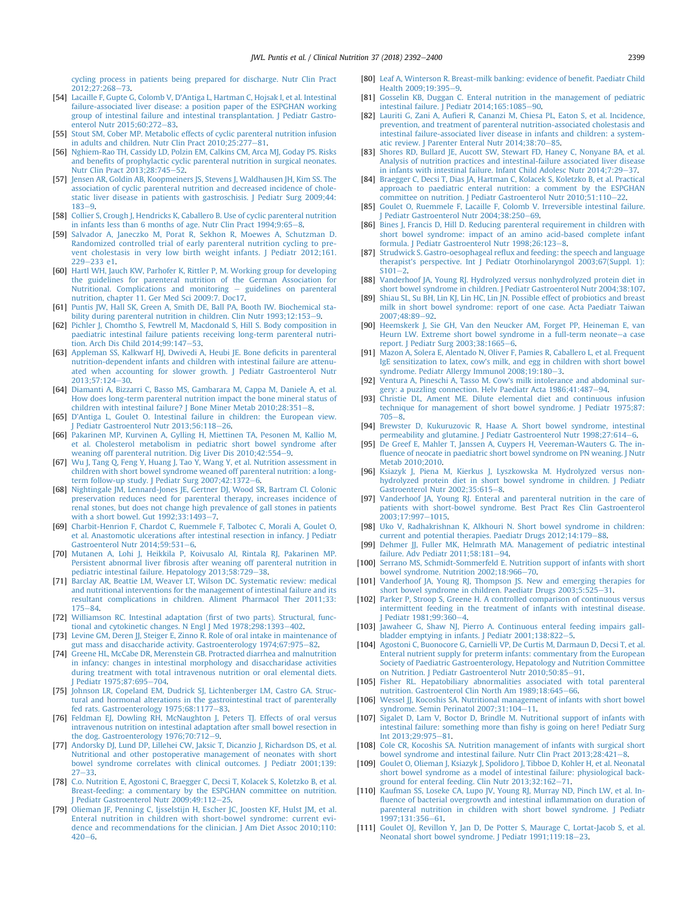<span id="page-7-0"></span>[cycling process in patients being prepared for discharge. Nutr Clin Pract](http://refhub.elsevier.com/S0261-5614(18)31172-5/sref53)  $2012.27.268 - 73$ 

- [54] [Lacaille F, Gupte G, Colomb V, D'Antiga L, Hartman C, Hojsak I, et al. Intestinal](http://refhub.elsevier.com/S0261-5614(18)31172-5/sref54) [failure-associated liver disease: a position paper of the ESPGHAN working](http://refhub.elsevier.com/S0261-5614(18)31172-5/sref54) [group of intestinal failure and intestinal transplantation. J Pediatr Gastro](http://refhub.elsevier.com/S0261-5614(18)31172-5/sref54)[enterol Nutr 2015;60:272](http://refhub.elsevier.com/S0261-5614(18)31172-5/sref54)-[83.](http://refhub.elsevier.com/S0261-5614(18)31172-5/sref54)
- [55] [Stout SM, Cober MP. Metabolic effects of cyclic parenteral nutrition infusion](http://refhub.elsevier.com/S0261-5614(18)31172-5/sref55) in adults and children. Nutr Clin Pract  $2010;25:277-81$  $2010;25:277-81$ .
- [56] [Nghiem-Rao TH, Cassidy LD, Polzin EM, Calkins CM, Arca MJ, Goday PS. Risks](http://refhub.elsevier.com/S0261-5614(18)31172-5/sref56) and benefi[ts of prophylactic cyclic parenteral nutrition in surgical neonates.](http://refhub.elsevier.com/S0261-5614(18)31172-5/sref56) Nutr Clin Pract 2013:28:745-[52](http://refhub.elsevier.com/S0261-5614(18)31172-5/sref56).
- [57] [Jensen AR, Goldin AB, Koopmeiners JS, Stevens J, Waldhausen JH, Kim SS. The](http://refhub.elsevier.com/S0261-5614(18)31172-5/sref57) [association of cyclic parenteral nutrition and decreased incidence of chole](http://refhub.elsevier.com/S0261-5614(18)31172-5/sref57)[static liver disease in patients with gastroschisis. J Pediatr Surg 2009;44:](http://refhub.elsevier.com/S0261-5614(18)31172-5/sref57)  $183 - 9.$  $183 - 9.$  $183 - 9.$  $183 - 9.$
- [58] [Collier S, Crough J, Hendricks K, Caballero B. Use of cyclic parenteral nutrition](http://refhub.elsevier.com/S0261-5614(18)31172-5/sref58) in infants less than 6 months of age. Nutr Clin Pract  $1994.965-8$ .
- [59] [Salvador A, Janeczko M, Porat R, Sekhon R, Moewes A, Schutzman D.](http://refhub.elsevier.com/S0261-5614(18)31172-5/sref59) [Randomized controlled trial of early parenteral nutrition cycling to pre](http://refhub.elsevier.com/S0261-5614(18)31172-5/sref59)[vent cholestasis in very low birth weight infants. J Pediatr 2012;161.](http://refhub.elsevier.com/S0261-5614(18)31172-5/sref59)  $229 - 233$  $229 - 233$  e1.
- [60] [Hartl WH, Jauch KW, Parhofer K, Rittler P, M. Working group for developing](http://refhub.elsevier.com/S0261-5614(18)31172-5/sref60) [the guidelines for parenteral nutrition of the German Association for](http://refhub.elsevier.com/S0261-5614(18)31172-5/sref60) [Nutritional. Complications and monitoring](http://refhub.elsevier.com/S0261-5614(18)31172-5/sref60)  $-$  [guidelines on parenteral](http://refhub.elsevier.com/S0261-5614(18)31172-5/sref60) [nutrition, chapter 11. Ger Med Sci 2009:7. Doc17](http://refhub.elsevier.com/S0261-5614(18)31172-5/sref60).
- [61] [Puntis JW, Hall SK, Green A, Smith DE, Ball PA, Booth IW. Biochemical sta](http://refhub.elsevier.com/S0261-5614(18)31172-5/sref61)[bility during parenteral nutrition in children. Clin Nutr 1993;12:153](http://refhub.elsevier.com/S0261-5614(18)31172-5/sref61)-[9.](http://refhub.elsevier.com/S0261-5614(18)31172-5/sref61)
- [62] [Pichler J, Chomtho S, Fewtrell M, Macdonald S, Hill S. Body composition in](http://refhub.elsevier.com/S0261-5614(18)31172-5/sref62) [paediatric intestinal failure patients receiving long-term parenteral nutri-](http://refhub.elsevier.com/S0261-5614(18)31172-5/sref62)tion. Arch Dis Child 2014:99:147-[53](http://refhub.elsevier.com/S0261-5614(18)31172-5/sref62).
- [63] [Appleman SS, Kalkwarf HJ, Dwivedi A, Heubi JE. Bone de](http://refhub.elsevier.com/S0261-5614(18)31172-5/sref63)ficits in parenteral [nutrition-dependent infants and children with intestinal failure are attenu](http://refhub.elsevier.com/S0261-5614(18)31172-5/sref63)[ated when accounting for slower growth. J Pediatr Gastroenterol Nutr](http://refhub.elsevier.com/S0261-5614(18)31172-5/sref63)  $2013:57:124-30$
- [64] [Diamanti A, Bizzarri C, Basso MS, Gambarara M, Cappa M, Daniele A, et al.](http://refhub.elsevier.com/S0261-5614(18)31172-5/sref64) [How does long-term parenteral nutrition impact the bone mineral status of](http://refhub.elsevier.com/S0261-5614(18)31172-5/sref64) [children with intestinal failure? J Bone Miner Metab 2010;28:351](http://refhub.elsevier.com/S0261-5614(18)31172-5/sref64)-[8](http://refhub.elsevier.com/S0261-5614(18)31172-5/sref64).
- [65] [D'Antiga L, Goulet O. Intestinal failure in children: the European view.](http://refhub.elsevier.com/S0261-5614(18)31172-5/sref65) Pediatr Gastroenterol Nutr 2013;56:118-[26](http://refhub.elsevier.com/S0261-5614(18)31172-5/sref65).
- [66] [Pakarinen MP, Kurvinen A, Gylling H, Miettinen TA, Pesonen M, Kallio M,](http://refhub.elsevier.com/S0261-5614(18)31172-5/sref66) [et al. Cholesterol metabolism in pediatric short bowel syndrome after](http://refhub.elsevier.com/S0261-5614(18)31172-5/sref66) [weaning off parenteral nutrition. Dig Liver Dis 2010;42:554](http://refhub.elsevier.com/S0261-5614(18)31172-5/sref66)-[9.](http://refhub.elsevier.com/S0261-5614(18)31172-5/sref66)
- [67] [Wu J, Tang Q, Feng Y, Huang J, Tao Y, Wang Y, et al. Nutrition assessment in](http://refhub.elsevier.com/S0261-5614(18)31172-5/sref67) [children with short bowel syndrome weaned off parenteral nutrition: a long](http://refhub.elsevier.com/S0261-5614(18)31172-5/sref67)term follow-up study. J Pediatr Surg  $2007;42:1372-6$ .
- [68] [Nightingale JM, Lennard-Jones JE, Gertner DJ, Wood SR, Bartram CI. Colonic](http://refhub.elsevier.com/S0261-5614(18)31172-5/sref68) [preservation reduces need for parenteral therapy, increases incidence of](http://refhub.elsevier.com/S0261-5614(18)31172-5/sref68) [renal stones, but does not change high prevalence of gall stones in patients](http://refhub.elsevier.com/S0261-5614(18)31172-5/sref68) [with a short bowel. Gut 1992;33:1493](http://refhub.elsevier.com/S0261-5614(18)31172-5/sref68)-[7.](http://refhub.elsevier.com/S0261-5614(18)31172-5/sref68)
- [69] [Charbit-Henrion F, Chardot C, Ruemmele F, Talbotec C, Morali A, Goulet O,](http://refhub.elsevier.com/S0261-5614(18)31172-5/sref69) [et al. Anastomotic ulcerations after intestinal resection in infancy. J Pediatr](http://refhub.elsevier.com/S0261-5614(18)31172-5/sref69) Gastroenterol Nutr  $2014;59:531-6$ .
- [70] [Mutanen A, Lohi J, Heikkila P, Koivusalo AI, Rintala RJ, Pakarinen MP.](http://refhub.elsevier.com/S0261-5614(18)31172-5/sref70) Persistent abnormal liver fi[brosis after weaning off parenteral nutrition in](http://refhub.elsevier.com/S0261-5614(18)31172-5/sref70) [pediatric intestinal failure. Hepatology 2013;58:729](http://refhub.elsevier.com/S0261-5614(18)31172-5/sref70)-[38](http://refhub.elsevier.com/S0261-5614(18)31172-5/sref70).
- [71] [Barclay AR, Beattie LM, Weaver LT, Wilson DC. Systematic review: medical](http://refhub.elsevier.com/S0261-5614(18)31172-5/sref71) [and nutritional interventions for the management of intestinal failure and its](http://refhub.elsevier.com/S0261-5614(18)31172-5/sref71) [resultant complications in children. Aliment Pharmacol Ther 2011;33:](http://refhub.elsevier.com/S0261-5614(18)31172-5/sref71)  $175 - 84.$  $175 - 84.$  $175 - 84.$  $175 - 84.$
- [72] [Williamson RC. Intestinal adaptation \(](http://refhub.elsevier.com/S0261-5614(18)31172-5/sref72)first of two parts). Structural, func[tional and cytokinetic changes. N Engl J Med 1978;298:1393](http://refhub.elsevier.com/S0261-5614(18)31172-5/sref72)-[402](http://refhub.elsevier.com/S0261-5614(18)31172-5/sref72).
- [73] Levine GM, Deren II, Steiger E, Zinno R, Role of oral intake in maintenance of [gut mass and disaccharide activity. Gastroenterology 1974;67:975](http://refhub.elsevier.com/S0261-5614(18)31172-5/sref73)-[82](http://refhub.elsevier.com/S0261-5614(18)31172-5/sref73).
- [74] [Greene HL, McCabe DR, Merenstein GB. Protracted diarrhea and malnutrition](http://refhub.elsevier.com/S0261-5614(18)31172-5/sref74) [in infancy: changes in intestinal morphology and disaccharidase activities](http://refhub.elsevier.com/S0261-5614(18)31172-5/sref74) [during treatment with total intravenous nutrition or oral elemental diets.](http://refhub.elsevier.com/S0261-5614(18)31172-5/sref74) [J Pediatr 1975;87:695](http://refhub.elsevier.com/S0261-5614(18)31172-5/sref74)-[704](http://refhub.elsevier.com/S0261-5614(18)31172-5/sref74).
- [75] [Johnson LR, Copeland EM, Dudrick SJ, Lichtenberger LM, Castro GA. Struc](http://refhub.elsevier.com/S0261-5614(18)31172-5/sref75)[tural and hormonal alterations in the gastrointestinal tract of parenterally](http://refhub.elsevier.com/S0261-5614(18)31172-5/sref75) fed rats. Gastroenterology  $1975;68:1177-83$ .
- [76] [Feldman EJ, Dowling RH, McNaughton J, Peters TJ. Effects of oral versus](http://refhub.elsevier.com/S0261-5614(18)31172-5/sref76) [intravenous nutrition on intestinal adaptation after small bowel resection in](http://refhub.elsevier.com/S0261-5614(18)31172-5/sref76) the dog. Gastroenterology  $1976;70:712-9$  $1976;70:712-9$  $1976;70:712-9$ .
- [77] [Andorsky DJ, Lund DP, Lillehei CW, Jaksic T, Dicanzio J, Richardson DS, et al.](http://refhub.elsevier.com/S0261-5614(18)31172-5/sref77) [Nutritional and other postoperative management of neonates with short](http://refhub.elsevier.com/S0261-5614(18)31172-5/sref77) [bowel syndrome correlates with clinical outcomes. J Pediatr 2001;139:](http://refhub.elsevier.com/S0261-5614(18)31172-5/sref77)  $27 - 33$  $27 - 33$  $27 - 33$ .
- [78] [C.o. Nutrition E, Agostoni C, Braegger C, Decsi T, Kolacek S, Koletzko B, et al.](http://refhub.elsevier.com/S0261-5614(18)31172-5/sref78) [Breast-feeding: a commentary by the ESPGHAN committee on nutrition.](http://refhub.elsevier.com/S0261-5614(18)31172-5/sref78) Pediatr Gastroenterol Nutr 2009;49:112-[25](http://refhub.elsevier.com/S0261-5614(18)31172-5/sref78).
- [79] [Olieman JF, Penning C, Ijsselstijn H, Escher JC, Joosten KF, Hulst JM, et al.](http://refhub.elsevier.com/S0261-5614(18)31172-5/sref79) [Enteral nutrition in children with short-bowel syndrome: current evi](http://refhub.elsevier.com/S0261-5614(18)31172-5/sref79)[dence and recommendations for the clinician. J Am Diet Assoc 2010;110:](http://refhub.elsevier.com/S0261-5614(18)31172-5/sref79)  $420 - 6$  $420 - 6$
- [80] [Leaf A, Winterson R. Breast-milk banking: evidence of bene](http://refhub.elsevier.com/S0261-5614(18)31172-5/sref80)fit. Paediatr Child [Health 2009;19:395](http://refhub.elsevier.com/S0261-5614(18)31172-5/sref80)-[9](http://refhub.elsevier.com/S0261-5614(18)31172-5/sref80).
- [81] [Gosselin KB, Duggan C. Enteral nutrition in the management of pediatric](http://refhub.elsevier.com/S0261-5614(18)31172-5/sref81) intestinal failure. J Pediatr  $2014;165;1085-90$ .
- [82] Lauriti G, Zani A, Aufi[eri R, Cananzi M, Chiesa PL, Eaton S, et al. Incidence,](http://refhub.elsevier.com/S0261-5614(18)31172-5/sref82) [prevention, and treatment of parenteral nutrition-associated cholestasis and](http://refhub.elsevier.com/S0261-5614(18)31172-5/sref82) [intestinal failure-associated liver disease in infants and children: a system](http://refhub.elsevier.com/S0261-5614(18)31172-5/sref82)[atic review. J Parenter Enteral Nutr 2014;38:70](http://refhub.elsevier.com/S0261-5614(18)31172-5/sref82)-[85.](http://refhub.elsevier.com/S0261-5614(18)31172-5/sref82)
- [83] [Shores RD, Bullard JE, Aucott SW, Stewart FD, Haney C, Nonyane BA, et al.](http://refhub.elsevier.com/S0261-5614(18)31172-5/sref83) [Analysis of nutrition practices and intestinal-failure associated liver disease](http://refhub.elsevier.com/S0261-5614(18)31172-5/sref83) in infants with intestinal failure. Infant Child Adolesc Nutr  $2014:7:29-37$ .
- [84] [Braegger C, Decsi T, Dias JA, Hartman C, Kolacek S, Koletzko B, et al. Practical](http://refhub.elsevier.com/S0261-5614(18)31172-5/sref84) [approach to paediatric enteral nutrition: a comment by the ESPGHAN](http://refhub.elsevier.com/S0261-5614(18)31172-5/sref84) committee on nutrition. J Pediatr Gastroenterol Nutr 2010:51:110-[22.](http://refhub.elsevier.com/S0261-5614(18)31172-5/sref84)
- [85] [Goulet O, Ruemmele F, Lacaille F, Colomb V. Irreversible intestinal failure.](http://refhub.elsevier.com/S0261-5614(18)31172-5/sref85) I Pediatr Gastroenterol Nutr 2004:38:250-[69](http://refhub.elsevier.com/S0261-5614(18)31172-5/sref85).
- [86] [Bines J, Francis D, Hill D. Reducing parenteral requirement in children with](http://refhub.elsevier.com/S0261-5614(18)31172-5/sref86) [short bowel syndrome: impact of an amino acid-based complete infant](http://refhub.elsevier.com/S0261-5614(18)31172-5/sref86) formula. J Pediatr Gastroenterol Nutr 199[8](http://refhub.elsevier.com/S0261-5614(18)31172-5/sref86):26:123-8.
- [87] Strudwick S. Gastro-oesophageal refl[ux and feeding: the speech and language](http://refhub.elsevier.com/S0261-5614(18)31172-5/sref87) [therapist's perspective. Int J Pediatr Otorhinolaryngol 2003;67\(Suppl. 1\):](http://refhub.elsevier.com/S0261-5614(18)31172-5/sref87)  $S101 - 2.$  $S101 - 2.$  $S101 - 2.$
- [88] [Vanderhoof JA, Young RJ. Hydrolyzed versus nonhydrolyzed protein diet in](http://refhub.elsevier.com/S0261-5614(18)31172-5/sref88) [short bowel syndrome in children. J Pediatr Gastroenterol Nutr 2004;38:107](http://refhub.elsevier.com/S0261-5614(18)31172-5/sref88).
- [89] [Shiau SL, Su BH, Lin KJ, Lin HC, Lin JN. Possible effect of probiotics and breast](http://refhub.elsevier.com/S0261-5614(18)31172-5/sref89) [milk in short bowel syndrome: report of one case. Acta Paediatr Taiwan](http://refhub.elsevier.com/S0261-5614(18)31172-5/sref89)  $2007:48:89-92$
- [90] [Heemskerk J, Sie GH, Van den Neucker AM, Forget PP, Heineman E, van](http://refhub.elsevier.com/S0261-5614(18)31172-5/sref90) [Heurn LW. Extreme short bowel syndrome in a full-term neonate](http://refhub.elsevier.com/S0261-5614(18)31172-5/sref90)-[a case](http://refhub.elsevier.com/S0261-5614(18)31172-5/sref90) [report. J Pediatr Surg 2003;38:1665](http://refhub.elsevier.com/S0261-5614(18)31172-5/sref90)-[6](http://refhub.elsevier.com/S0261-5614(18)31172-5/sref90).
- [91] [Mazon A, Solera E, Alentado N, Oliver F, Pamies R, Caballero L, et al. Frequent](http://refhub.elsevier.com/S0261-5614(18)31172-5/sref91) [IgE sensitization to latex, cow's milk, and egg in children with short bowel](http://refhub.elsevier.com/S0261-5614(18)31172-5/sref91) [syndrome. Pediatr Allergy Immunol 2008;19:180](http://refhub.elsevier.com/S0261-5614(18)31172-5/sref91)-[3](http://refhub.elsevier.com/S0261-5614(18)31172-5/sref91).
- [92] [Ventura A, Pineschi A, Tasso M. Cow's milk intolerance and abdominal sur](http://refhub.elsevier.com/S0261-5614(18)31172-5/sref92)[gery: a puzzling connection. Helv Paediatr Acta 1986;41:487](http://refhub.elsevier.com/S0261-5614(18)31172-5/sref92)-[94.](http://refhub.elsevier.com/S0261-5614(18)31172-5/sref92)
- [93] [Christie DL, Ament ME. Dilute elemental diet and continuous infusion](http://refhub.elsevier.com/S0261-5614(18)31172-5/sref93) [technique for management of short bowel syndrome. J Pediatr 1975;87:](http://refhub.elsevier.com/S0261-5614(18)31172-5/sref93)  $705 - 8$  $705 - 8$  $705 - 8$
- [94] [Brewster D, Kukuruzovic R, Haase A. Short bowel syndrome, intestinal](http://refhub.elsevier.com/S0261-5614(18)31172-5/sref94) [permeability and glutamine. J Pediatr Gastroenterol Nutr 1998;27:614](http://refhub.elsevier.com/S0261-5614(18)31172-5/sref94)-[6](http://refhub.elsevier.com/S0261-5614(18)31172-5/sref94).
- [95] [De Greef E, Mahler T, Janssen A, Cuypers H, Veereman-Wauters G. The in](http://refhub.elsevier.com/S0261-5614(18)31172-5/sref95)fl[uence of neocate in paediatric short bowel syndrome on PN weaning. J Nutr](http://refhub.elsevier.com/S0261-5614(18)31172-5/sref95) [Metab 2010;2010](http://refhub.elsevier.com/S0261-5614(18)31172-5/sref95).
- [96] [Ksiazyk J, Piena M, Kierkus J, Lyszkowska M. Hydrolyzed versus non](http://refhub.elsevier.com/S0261-5614(18)31172-5/sref96)[hydrolyzed protein diet in short bowel syndrome in children. J Pediatr](http://refhub.elsevier.com/S0261-5614(18)31172-5/sref96) [Gastroenterol Nutr 2002;35:615](http://refhub.elsevier.com/S0261-5614(18)31172-5/sref96)-[8.](http://refhub.elsevier.com/S0261-5614(18)31172-5/sref96)
- [97] [Vanderhoof JA, Young RJ. Enteral and parenteral nutrition in the care of](http://refhub.elsevier.com/S0261-5614(18)31172-5/sref97) [patients with short-bowel syndrome. Best Pract Res Clin Gastroenterol](http://refhub.elsevier.com/S0261-5614(18)31172-5/sref97) [2003;17:997](http://refhub.elsevier.com/S0261-5614(18)31172-5/sref97)-[1015](http://refhub.elsevier.com/S0261-5614(18)31172-5/sref97).
- [98] [Uko V, Radhakrishnan K, Alkhouri N. Short bowel syndrome in children:](http://refhub.elsevier.com/S0261-5614(18)31172-5/sref98) [current and potential therapies. Paediatr Drugs 2012;14:179](http://refhub.elsevier.com/S0261-5614(18)31172-5/sref98)-[88](http://refhub.elsevier.com/S0261-5614(18)31172-5/sref98).
- [99] [Dehmer JJ, Fuller MK, Helmrath MA. Management of pediatric intestinal](http://refhub.elsevier.com/S0261-5614(18)31172-5/sref99) [failure. Adv Pediatr 2011;58:181](http://refhub.elsevier.com/S0261-5614(18)31172-5/sref99)-[94.](http://refhub.elsevier.com/S0261-5614(18)31172-5/sref99)
- [100] [Serrano MS, Schmidt-Sommerfeld E. Nutrition support of infants with short](http://refhub.elsevier.com/S0261-5614(18)31172-5/sref100) [bowel syndrome. Nutrition 2002;18:966](http://refhub.elsevier.com/S0261-5614(18)31172-5/sref100)-[70.](http://refhub.elsevier.com/S0261-5614(18)31172-5/sref100)
- [101] [Vanderhoof JA, Young RJ, Thompson JS. New and emerging therapies for](http://refhub.elsevier.com/S0261-5614(18)31172-5/sref101) [short bowel syndrome in children. Paediatr Drugs 2003;5:525](http://refhub.elsevier.com/S0261-5614(18)31172-5/sref101)-[31.](http://refhub.elsevier.com/S0261-5614(18)31172-5/sref101)
- [102] [Parker P, Stroop S, Greene H. A controlled comparison of continuous versus](http://refhub.elsevier.com/S0261-5614(18)31172-5/sref102) [intermittent feeding in the treatment of infants with intestinal disease.](http://refhub.elsevier.com/S0261-5614(18)31172-5/sref102) Pediatr 1981:99:360-[4](http://refhub.elsevier.com/S0261-5614(18)31172-5/sref102).
- [103] [Jawaheer G, Shaw NJ, Pierro A. Continuous enteral feeding impairs gall](http://refhub.elsevier.com/S0261-5614(18)31172-5/sref103)[bladder emptying in infants. J Pediatr 2001;138:822](http://refhub.elsevier.com/S0261-5614(18)31172-5/sref103)-[5](http://refhub.elsevier.com/S0261-5614(18)31172-5/sref103).
- [104] [Agostoni C, Buonocore G, Carnielli VP, De Curtis M, Darmaun D, Decsi T, et al.](http://refhub.elsevier.com/S0261-5614(18)31172-5/sref104) [Enteral nutrient supply for preterm infants: commentary from the European](http://refhub.elsevier.com/S0261-5614(18)31172-5/sref104) [Society of Paediatric Gastroenterology, Hepatology and Nutrition Committee](http://refhub.elsevier.com/S0261-5614(18)31172-5/sref104) [on Nutrition. J Pediatr Gastroenterol Nutr 2010;50:85](http://refhub.elsevier.com/S0261-5614(18)31172-5/sref104)-[91](http://refhub.elsevier.com/S0261-5614(18)31172-5/sref104).
- [105] [Fisher RL. Hepatobiliary abnormalities associated with total parenteral](http://refhub.elsevier.com/S0261-5614(18)31172-5/sref105) [nutrition. Gastroenterol Clin North Am 1989;18:645](http://refhub.elsevier.com/S0261-5614(18)31172-5/sref105)-[66.](http://refhub.elsevier.com/S0261-5614(18)31172-5/sref105)
- [106] [Wessel JJ, Kocoshis SA. Nutritional management of infants with short bowel](http://refhub.elsevier.com/S0261-5614(18)31172-5/sref106) [syndrome. Semin Perinatol 2007;31:104](http://refhub.elsevier.com/S0261-5614(18)31172-5/sref106)-[11.](http://refhub.elsevier.com/S0261-5614(18)31172-5/sref106)
- [107] [Sigalet D, Lam V, Boctor D, Brindle M. Nutritional support of infants with](http://refhub.elsevier.com/S0261-5614(18)31172-5/sref107) [intestinal failure: something more than](http://refhub.elsevier.com/S0261-5614(18)31172-5/sref107) fishy is going on here! Pediatr Surg Int 2013:29:975-[81.](http://refhub.elsevier.com/S0261-5614(18)31172-5/sref107)
- [108] [Cole CR, Kocoshis SA. Nutrition management of infants with surgical short](http://refhub.elsevier.com/S0261-5614(18)31172-5/sref108) [bowel syndrome and intestinal failure. Nutr Clin Pract 2013;28:421](http://refhub.elsevier.com/S0261-5614(18)31172-5/sref108)-[8](http://refhub.elsevier.com/S0261-5614(18)31172-5/sref108).
- [109] [Goulet O, Olieman J, Ksiazyk J, Spolidoro J, Tibboe D, Kohler H, et al. Neonatal](http://refhub.elsevier.com/S0261-5614(18)31172-5/sref109) [short bowel syndrome as a model of intestinal failure: physiological back](http://refhub.elsevier.com/S0261-5614(18)31172-5/sref109)[ground for enteral feeding. Clin Nutr 2013;32:162](http://refhub.elsevier.com/S0261-5614(18)31172-5/sref109)-[71.](http://refhub.elsevier.com/S0261-5614(18)31172-5/sref109)
- [110] [Kaufman SS, Loseke CA, Lupo JV, Young RJ, Murray ND, Pinch LW, et al. In](http://refhub.elsevier.com/S0261-5614(18)31172-5/sref110)fl[uence of bacterial overgrowth and intestinal in](http://refhub.elsevier.com/S0261-5614(18)31172-5/sref110)flammation on duration of [parenteral nutrition in children with short bowel syndrome. J Pediatr](http://refhub.elsevier.com/S0261-5614(18)31172-5/sref110) [1997;131:356](http://refhub.elsevier.com/S0261-5614(18)31172-5/sref110)-[61.](http://refhub.elsevier.com/S0261-5614(18)31172-5/sref110)
- [111] [Goulet OJ, Revillon Y, Jan D, De Potter S, Maurage C, Lortat-Jacob S, et al.](http://refhub.elsevier.com/S0261-5614(18)31172-5/sref111) Neonatal short bowel syndrome. J Pediatr 1991:119:18-[23](http://refhub.elsevier.com/S0261-5614(18)31172-5/sref111).